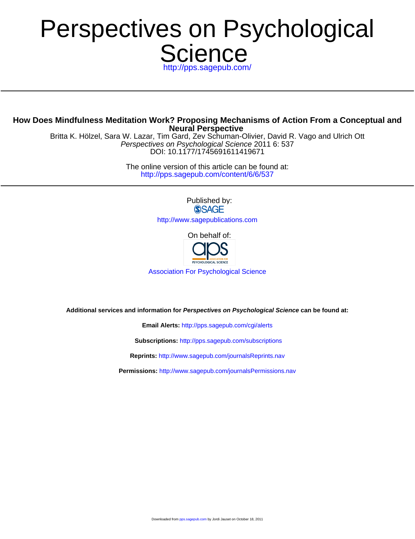# **Science** <http://pps.sagepub.com/> Perspectives on Psychological

# **Neural Perspective How Does Mindfulness Meditation Work? Proposing Mechanisms of Action From a Conceptual and**

DOI: 10.1177/1745691611419671 Perspectives on Psychological Science 2011 6: 537 Britta K. Hölzel, Sara W. Lazar, Tim Gard, Zev Schuman-Olivier, David R. Vago and Ulrich Ott

> <http://pps.sagepub.com/content/6/6/537> The online version of this article can be found at:

> > Published by: **SSAGE**

<http://www.sagepublications.com>

On behalf of:



[Association For Psychological Science](http://www.psychologicalscience.org)

**Additional services and information for Perspectives on Psychological Science can be found at:**

**Email Alerts:** <http://pps.sagepub.com/cgi/alerts>

**Subscriptions:** <http://pps.sagepub.com/subscriptions>

**Reprints:** <http://www.sagepub.com/journalsReprints.nav>

**Permissions:** <http://www.sagepub.com/journalsPermissions.nav>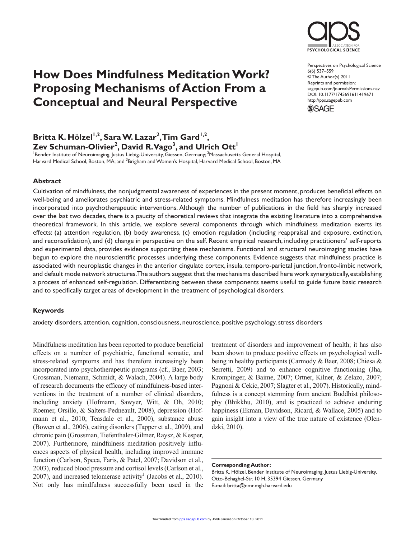# **How Does Mindfulness Meditation Work? Proposing Mechanisms of Action From a Conceptual and Neural Perspective**

Perspectives on Psychological Science 6(6) 537–559 © The Author(s) 2011 Reprints and permission: sagepub.com/journalsPermissions.nav DOI: 10.1177/1745691611419671 http://pps.sagepub.com

**PSYCHOLOGICAL SCIENCE** 



# Britta K. Hölzel<sup>1,2</sup>, Sara W. Lazar<sup>2</sup>, Tim Gard<sup>1,2</sup>,  $\mathsf{Zev}$  Schuman-Olivier<sup>2</sup>, David R.Vago<sup>3</sup>, and Ulrich Ott<sup>1</sup>

<sup>1</sup>Bender Institute of Neuroimaging, Justus Liebig-University, Giessen, Germany; <sup>2</sup>Massachusetts General Hospital, Harvard Medical School, Boston, MA; and <sup>3</sup>Brigham and Women's Hospital, Harvard Medical School, Boston, MA

#### **Abstract**

Cultivation of mindfulness, the nonjudgmental awareness of experiences in the present moment, produces beneficial effects on well-being and ameliorates psychiatric and stress-related symptoms. Mindfulness meditation has therefore increasingly been incorporated into psychotherapeutic interventions. Although the number of publications in the field has sharply increased over the last two decades, there is a paucity of theoretical reviews that integrate the existing literature into a comprehensive theoretical framework. In this article, we explore several components through which mindfulness meditation exerts its effects: (a) attention regulation, (b) body awareness, (c) emotion regulation (including reappraisal and exposure, extinction, and reconsolidation), and (d) change in perspective on the self. Recent empirical research, including practitioners' self-reports and experimental data, provides evidence supporting these mechanisms. Functional and structural neuroimaging studies have begun to explore the neuroscientific processes underlying these components. Evidence suggests that mindfulness practice is associated with neuroplastic changes in the anterior cingulate cortex, insula, temporo-parietal junction, fronto-limbic network, and default mode network structures. The authors suggest that the mechanisms described here work synergistically, establishing a process of enhanced self-regulation. Differentiating between these components seems useful to guide future basic research and to specifically target areas of development in the treatment of psychological disorders.

#### **Keywords**

anxiety disorders, attention, cognition, consciousness, neuroscience, positive psychology, stress disorders

Mindfulness meditation has been reported to produce beneficial effects on a number of psychiatric, functional somatic, and stress-related symptoms and has therefore increasingly been incorporated into psychotherapeutic programs (cf., Baer, 2003; Grossman, Niemann, Schmidt, & Walach, 2004). A large body of research documents the efficacy of mindfulness-based interventions in the treatment of a number of clinical disorders, including anxiety (Hofmann, Sawyer, Witt, & Oh, 2010; Roemer, Orsillo, & Salters-Pedneault, 2008), depression (Hofmann et al., 2010; Teasdale et al., 2000), substance abuse (Bowen et al., 2006), eating disorders (Tapper et al., 2009), and chronic pain (Grossman, Tiefenthaler-Gilmer, Raysz, & Kesper, 2007). Furthermore, mindfulness meditation positively influences aspects of physical health, including improved immune function (Carlson, Speca, Faris, & Patel, 2007; Davidson et al., 2003), reduced blood pressure and cortisol levels (Carlson et al., 2007), and increased telomerase activity<sup>1</sup> (Jacobs et al., 2010). Not only has mindfulness successfully been used in the

treatment of disorders and improvement of health; it has also been shown to produce positive effects on psychological wellbeing in healthy participants (Carmody & Baer, 2008; Chiesa & Serretti, 2009) and to enhance cognitive functioning (Jha, Krompinger, & Baime, 2007; Ortner, Kilner, & Zelazo, 2007; Pagnoni & Cekic, 2007; Slagter et al., 2007). Historically, mindfulness is a concept stemming from ancient Buddhist philosophy (Bhikkhu, 2010), and is practiced to achieve enduring happiness (Ekman, Davidson, Ricard, & Wallace, 2005) and to gain insight into a view of the true nature of existence (Olendzki, 2010).

#### **Corresponding Author:**

Britta K. Hölzel, Bender Institute of Neuroimaging, Justus Liebig-University, Otto-Behaghel-Str. 10 H, 35394 Giessen, Germany E-mail: britta@nmr.mgh.harvard.edu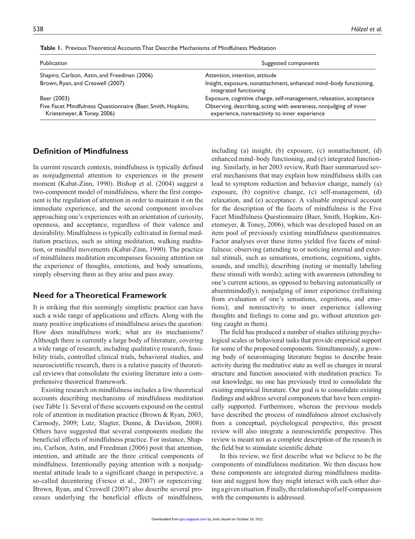| Publication                                                                                | Suggested components                                                                                               |  |  |
|--------------------------------------------------------------------------------------------|--------------------------------------------------------------------------------------------------------------------|--|--|
| Shapiro, Carlson, Astin, and Freedman (2006)                                               | Attention, intention, attitude                                                                                     |  |  |
| Brown, Ryan, and Creswell (2007)                                                           | Insight, exposure, nonattachment, enhanced mind-body functioning,<br>integrated functioning                        |  |  |
| Baer (2003)                                                                                | Exposure, cognitive change, self-management, relaxation, acceptance                                                |  |  |
| Five Facet Mindfulness Questionnaire (Baer, Smith, Hopkins,<br>Krietemeyer, & Toney, 2006) | Observing, describing, acting with awareness, nonjudging of inner<br>experience, nonreactivity to inner experience |  |  |

**Table 1.** Previous Theoretical Accounts That Describe Mechanisms of Mindfulness Meditation

## **Definition of Mindfulness**

In current research contexts, mindfulness is typically defined as nonjudgmental attention to experiences in the present moment (Kabat-Zinn, 1990). Bishop et al. (2004) suggest a two-component model of mindfulness, where the first component is the regulation of attention in order to maintain it on the immediate experience, and the second component involves approaching one's experiences with an orientation of curiosity, openness, and acceptance, regardless of their valence and desirability. Mindfulness is typically cultivated in formal meditation practices, such as sitting meditation, walking meditation, or mindful movements (Kabat-Zinn, 1990). The practice of mindfulness meditation encompasses focusing attention on the experience of thoughts, emotions, and body sensations, simply observing them as they arise and pass away.

# **Need for a Theoretical Framework**

It is striking that this seemingly simplistic practice can have such a wide range of applications and effects. Along with the many positive implications of mindfulness arises the question: How does mindfulness work; what are its mechanisms? Although there is currently a large body of literature, covering a wide range of research, including qualitative research, feasibility trials, controlled clinical trials, behavioral studies, and neuroscientific research, there is a relative paucity of theoretical reviews that consolidate the existing literature into a comprehensive theoretical framework.

Existing research on mindfulness includes a few theoretical accounts describing mechanisms of mindfulness meditation (see Table 1). Several of these accounts expound on the central role of attention in meditation practice (Brown & Ryan, 2003; Carmody, 2009; Lutz, Slagter, Dunne, & Davidson, 2008). Others have suggested that several components mediate the beneficial effects of mindfulness practice. For instance, Shapiro, Carlson, Astin, and Freedman (2006) posit that attention, intention, and attitude are the three critical components of mindfulness. Intentionally paying attention with a nonjudgmental attitude leads to a significant change in perspective, a so-called decentering (Fresco et al., 2007) or reperceiving. Brown, Ryan, and Creswell (2007) also describe several processes underlying the beneficial effects of mindfulness,

including (a) insight, (b) exposure, (c) nonattachment, (d) enhanced mind–body functioning, and (e) integrated functioning. Similarly, in her 2003 review, Ruth Baer summarized several mechanisms that may explain how mindfulness skills can lead to symptom reduction and behavior change, namely (a) exposure, (b) cognitive change, (c) self-management, (d) relaxation, and (e) acceptance. A valuable empirical account for the description of the facets of mindfulness is the Five Facet Mindfulness Questionnaire (Baer, Smith, Hopkins, Krietemeyer, & Toney, 2006), which was developed based on an item pool of previously existing mindfulness questionnaires. Factor analyses over these items yielded five facets of mindfulness: observing (attending to or noticing internal and external stimuli, such as sensations, emotions, cognitions, sights, sounds, and smells); describing (noting or mentally labeling these stimuli with words); acting with awareness (attending to one's current actions, as opposed to behaving automatically or absentmindedly); nonjudging of inner experience (refraining from evaluation of one's sensations, cognitions, and emotions); and nonreactivity to inner experience (allowing thoughts and feelings to come and go, without attention getting caught in them).

The field has produced a number of studies utilizing psychological scales or behavioral tasks that provide empirical support for some of the proposed components. Simultaneously, a growing body of neuroimaging literature begins to describe brain activity during the meditative state as well as changes in neural structure and function associated with meditation practice. To our knowledge, no one has previously tried to consolidate the existing empirical literature. Our goal is to consolidate existing findings and address several components that have been empirically supported. Furthermore, whereas the previous models have described the process of mindfulness almost exclusively from a conceptual, psychological perspective, this present review will also integrate a neuroscientific perspective. This review is meant not as a complete description of the research in the field but to stimulate scientific debate.

In this review, we first describe what we believe to be the components of mindfulness meditation. We then discuss how these components are integrated during mindfulness meditation and suggest how they might interact with each other during a given situation. Finally, the relationship of self-compassion with the components is addressed.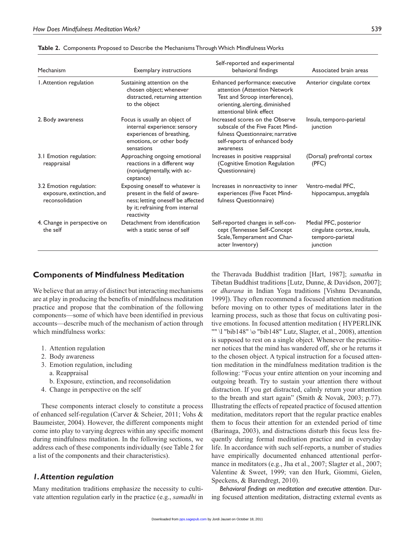| Mechanism                                                               | Exemplary instructions                                                                                                                                  | Self-reported and experimental<br>behavioral findings                                                                                                             | Associated brain areas                                                             |
|-------------------------------------------------------------------------|---------------------------------------------------------------------------------------------------------------------------------------------------------|-------------------------------------------------------------------------------------------------------------------------------------------------------------------|------------------------------------------------------------------------------------|
| I. Attention regulation                                                 | Sustaining attention on the<br>chosen object; whenever<br>distracted, returning attention<br>to the object                                              | Enhanced performance: executive<br>attention (Attention Network<br>Test and Stroop interference),<br>orienting, alerting, diminished<br>attentional blink effect. | Anterior cingulate cortex                                                          |
| 2. Body awareness                                                       | Focus is usually an object of<br>internal experience: sensory<br>experiences of breathing,<br>emotions, or other body<br>sensations                     | Increased scores on the Observe<br>subscale of the Five Facet Mind-<br>fulness Questionnaire; narrative<br>self-reports of enhanced body<br>awareness             | Insula, temporo-parietal<br>junction                                               |
| 3.1 Emotion regulation:<br>reappraisal                                  | Approaching ongoing emotional<br>reactions in a different way<br>(nonjudgmentally, with ac-<br>ceptance)                                                | Increases in positive reappraisal<br>(Cognitive Emotion Regulation<br>Questionnaire)                                                                              | (Dorsal) prefrontal cortex<br>(PFC)                                                |
| 3.2 Emotion regulation:<br>exposure, extinction, and<br>reconsolidation | Exposing oneself to whatever is<br>present in the field of aware-<br>ness; letting oneself be affected<br>by it; refraining from internal<br>reactivity | Increases in nonreactivity to inner<br>experiences (Five Facet Mind-<br>fulness Questionnaire)                                                                    | Ventro-medial PFC.<br>hippocampus, amygdala                                        |
| 4. Change in perspective on<br>the self                                 | Detachment from identification<br>with a static sense of self                                                                                           | Self-reported changes in self-con-<br>cept (Tennessee Self-Concept<br>Scale, Temperament and Char-<br>acter Inventory)                                            | Medial PFC, posterior<br>cingulate cortex, insula,<br>temporo-parietal<br>junction |

**Table 2.** Components Proposed to Describe the Mechanisms Through Which Mindfulness Works

## **Components of Mindfulness Meditation**

We believe that an array of distinct but interacting mechanisms are at play in producing the benefits of mindfulness meditation practice and propose that the combination of the following components—some of which have been identified in previous accounts—describe much of the mechanism of action through which mindfulness works:

- 1. Attention regulation
- 2. Body awareness
- 3. Emotion regulation, including
	- a. Reappraisal
	- b. Exposure, extinction, and reconsolidation
- 4. Change in perspective on the self

These components interact closely to constitute a process of enhanced self-regulation (Carver & Scheier, 2011; Vohs & Baumeister, 2004). However, the different components might come into play to varying degrees within any specific moment during mindfulness meditation. In the following sections, we address each of these components individually (see Table 2 for a list of the components and their characteristics).

#### *1. Attention regulation*

Many meditation traditions emphasize the necessity to cultivate attention regulation early in the practice (e.g., *samadhi* in

the Theravada Buddhist tradition [Hart, 1987]; *samatha* in Tibetan Buddhist traditions [Lutz, Dunne, & Davidson, 2007]; or *dharana* in Indian Yoga traditions [Vishnu Devananda, 1999]). They often recommend a focused attention meditation before moving on to other types of meditations later in the learning process, such as those that focus on cultivating positive emotions. In focused attention meditation ( HYPERLINK "" \l "bib148" \o "bib148" Lutz, Slagter, et al., 2008), attention is supposed to rest on a single object. Whenever the practitioner notices that the mind has wandered off, she or he returns it to the chosen object. A typical instruction for a focused attention meditation in the mindfulness meditation tradition is the following: "Focus your entire attention on your incoming and outgoing breath. Try to sustain your attention there without distraction. If you get distracted, calmly return your attention to the breath and start again" (Smith & Novak, 2003; p.77). Illustrating the effects of repeated practice of focused attention meditation, meditators report that the regular practice enables them to focus their attention for an extended period of time (Barinaga, 2003), and distractions disturb this focus less frequently during formal meditation practice and in everyday life. In accordance with such self-reports, a number of studies have empirically documented enhanced attentional performance in meditators (e.g., Jha et al., 2007; Slagter et al., 2007; Valentine & Sweet, 1999; van den Hurk, Giommi, Gielen, Speckens, & Barendregt, 2010).

*Behavioral findings on meditation and executive attention*. During focused attention meditation, distracting external events as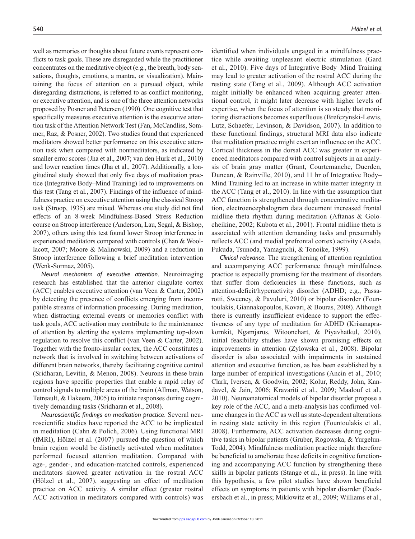well as memories or thoughts about future events represent conflicts to task goals. These are disregarded while the practitioner concentrates on the meditative object (e.g., the breath, body sensations, thoughts, emotions, a mantra, or visualization). Maintaining the focus of attention on a pursued object, while disregarding distractions, is referred to as conflict monitoring, or executive attention, and is one of the three attention networks proposed by Posner and Petersen (1990). One cognitive test that specifically measures executive attention is the executive attention task of the Attention Network Test (Fan, McCandliss, Sommer, Raz, & Posner, 2002). Two studies found that experienced meditators showed better performance on this executive attention task when compared with nonmeditators, as indicated by smaller error scores (Jha et al., 2007; van den Hurk et al., 2010) and lower reaction times (Jha et al., 2007). Additionally, a longitudinal study showed that only five days of meditation practice (Integrative Body–Mind Training) led to improvements on this test (Tang et al., 2007). Findings of the influence of mindfulness practice on executive attention using the classical Stroop task (Stroop, 1935) are mixed. Whereas one study did not find effects of an 8-week Mindfulness-Based Stress Reduction course on Stroop interference (Anderson, Lau, Segal, & Bishop, 2007), others using this test found lower Stroop interference in experienced meditators compared with controls (Chan & Woollacott, 2007; Moore & Malinowski, 2009) and a reduction in Stroop interference following a brief meditation intervention (Wenk-Sormaz, 2005).

*Neural mechanism of executive attention*. Neuroimaging research has established that the anterior cingulate cortex (ACC) enables executive attention (van Veen & Carter, 2002) by detecting the presence of conflicts emerging from incompatible streams of information processing. During meditation, when distracting external events or memories conflict with task goals, ACC activation may contribute to the maintenance of attention by alerting the systems implementing top-down regulation to resolve this conflict (van Veen & Carter, 2002). Together with the fronto-insular cortex, the ACC constitutes a network that is involved in switching between activations of different brain networks, thereby facilitating cognitive control (Sridharan, Levitin, & Menon, 2008). Neurons in these brain regions have specific properties that enable a rapid relay of control signals to multiple areas of the brain (Allman, Watson, Tetreault, & Hakeem, 2005) to initiate responses during cognitively demanding tasks (Sridharan et al., 2008).

*Neuroscientific findings on meditation practice*. Several neuroscientific studies have reported the ACC to be implicated in meditation (Cahn & Polich, 2006). Using functional MRI (fMRI), Hölzel et al. (2007) pursued the question of which brain region would be distinctly activated when meditators performed focused attention meditation. Compared with age-, gender-, and education-matched controls, experienced meditators showed greater activation in the rostral ACC (Hölzel et al., 2007), suggesting an effect of meditation practice on ACC activity. A similar effect (greater rostral ACC activation in meditators compared with controls) was

identified when individuals engaged in a mindfulness practice while awaiting unpleasant electric stimulation (Gard et al., 2010). Five days of Integrative Body–Mind Training may lead to greater activation of the rostral ACC during the resting state (Tang et al., 2009). Although ACC activation might initially be enhanced when acquiring greater attentional control, it might later decrease with higher levels of expertise, when the focus of attention is so steady that monitoring distractions becomes superfluous (Brefczynski-Lewis, Lutz, Schaefer, Levinson, & Davidson, 2007). In addition to these functional findings, structural MRI data also indicate that meditation practice might exert an influence on the ACC. Cortical thickness in the dorsal ACC was greater in experienced meditators compared with control subjects in an analysis of brain gray matter (Grant, Courtemanche, Duerden, Duncan, & Rainville, 2010), and 11 hr of Integrative Body– Mind Training led to an increase in white matter integrity in the ACC (Tang et al., 2010). In line with the assumption that ACC function is strengthened through concentrative meditation, electroencephalogram data document increased frontal midline theta rhythm during meditation (Aftanas & Golocheikine, 2002; Kubota et al., 2001). Frontal midline theta is associated with attention demanding tasks and presumably reflects ACC (and medial prefrontal cortex) activity (Asada, Fukuda, Tsunoda, Yamaguchi, & Tonoike, 1999).

*Clinical relevance*. The strengthening of attention regulation and accompanying ACC performance through mindfulness practice is especially promising for the treatment of disorders that suffer from deficiencies in these functions, such as attention-deficit/hyperactivity disorder (ADHD; e.g., Passarotti, Sweeney, & Pavuluri, 2010) or bipolar disorder (Fountoulakis, Giannakopoulos, Kovari, & Bouras, 2008). Although there is currently insufficient evidence to support the effectiveness of any type of meditation for ADHD (Krisanaprakornkit, Ngamjarus, Witoonchart, & Piyavhatkul, 2010), initial feasibility studies have shown promising effects on improvements in attention (Zylowska et al., 2008). Bipolar disorder is also associated with impairments in sustained attention and executive function, as has been established by a large number of empirical investigations (Ancin et al., 2010; Clark, Iversen, & Goodwin, 2002; Kolur, Reddy, John, Kandavel, & Jain, 2006; Kravariti et al., 2009; Maalouf et al., 2010). Neuroanatomical models of bipolar disorder propose a key role of the ACC, and a meta-analysis has confirmed volume changes in the ACC as well as state-dependent alterations in resting state activity in this region (Fountoulakis et al., 2008). Furthermore, ACC activation decreases during cognitive tasks in bipolar patients (Gruber, Rogowska, & Yurgelun-Todd, 2004). Mindfulness meditation practice might therefore be beneficial to ameliorate these deficits in cognitive functioning and accompanying ACC function by strengthening these skills in bipolar patients (Stange et al., in press). In line with this hypothesis, a few pilot studies have shown beneficial effects on symptoms in patients with bipolar disorder (Deckersbach et al., in press; Miklowitz et al., 2009; Williams et al.,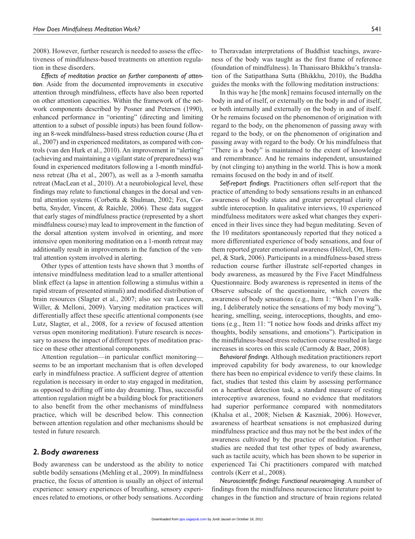2008). However, further research is needed to assess the effectiveness of mindfulness-based treatments on attention regulation in these disorders.

*Effects of meditation practice on further components of attention*. Aside from the documented improvements in executive attention through mindfulness, effects have also been reported on other attention capacities. Within the framework of the network components described by Posner and Petersen (1990), enhanced performance in "orienting" (directing and limiting attention to a subset of possible inputs) has been found following an 8-week mindfulness-based stress reduction course (Jha et al., 2007) and in experienced meditators, as compared with controls (van den Hurk et al., 2010). An improvement in "alerting" (achieving and maintaining a vigilant state of preparedness) was found in experienced meditators following a 1-month mindfulness retreat (Jha et al., 2007), as well as a 3-month samatha retreat (MacLean et al., 2010). At a neurobiological level, these findings may relate to functional changes in the dorsal and ventral attention systems (Corbetta & Shulman, 2002; Fox, Corbetta, Snyder, Vincent, & Raichle, 2006). These data suggest that early stages of mindfulness practice (represented by a short mindfulness course) may lead to improvement in the function of the dorsal attention system involved in orienting, and more intensive open monitoring meditation on a 1-month retreat may additionally result in improvements in the function of the ventral attention system involved in alerting.

Other types of attention tests have shown that 3 months of intensive mindfulness meditation lead to a smaller attentional blink effect (a lapse in attention following a stimulus within a rapid stream of presented stimuli) and modified distribution of brain resources (Slagter et al., 2007; also see van Leeuwen, Willer, & Melloni, 2009). Varying meditation practices will differentially affect these specific attentional components (see Lutz, Slagter, et al., 2008, for a review of focused attention versus open monitoring meditation). Future research is necessary to assess the impact of different types of meditation practice on these other attentional components.

Attention regulation—in particular conflict monitoring seems to be an important mechanism that is often developed early in mindfulness practice. A sufficient degree of attention regulation is necessary in order to stay engaged in meditation, as opposed to drifting off into day dreaming. Thus, successful attention regulation might be a building block for practitioners to also benefit from the other mechanisms of mindfulness practice, which will be described below. This connection between attention regulation and other mechanisms should be tested in future research.

#### *2. Body awareness*

Body awareness can be understood as the ability to notice subtle bodily sensations (Mehling et al., 2009). In mindfulness practice, the focus of attention is usually an object of internal experience: sensory experiences of breathing, sensory experiences related to emotions, or other body sensations. According

to Theravadan interpretations of Buddhist teachings, awareness of the body was taught as the first frame of reference (foundation of mindfulness). In Thanissaro Bhikkhu's translation of the Satipatthana Sutta (Bhikkhu, 2010), the Buddha guides the monks with the following meditation instructions:

In this way he [the monk] remains focused internally on the body in and of itself, or externally on the body in and of itself, or both internally and externally on the body in and of itself. Or he remains focused on the phenomenon of origination with regard to the body, on the phenomenon of passing away with regard to the body, or on the phenomenon of origination and passing away with regard to the body. Or his mindfulness that "There is a body" is maintained to the extent of knowledge and remembrance. And he remains independent, unsustained by (not clinging to) anything in the world. This is how a monk remains focused on the body in and of itself.

*Self-report findings*. Practitioners often self-report that the practice of attending to body sensations results in an enhanced awareness of bodily states and greater perceptual clarity of subtle interoception. In qualitative interviews, 10 experienced mindfulness meditators were asked what changes they experienced in their lives since they had begun meditating. Seven of the 10 meditators spontaneously reported that they noticed a more differentiated experience of body sensations, and four of them reported greater emotional awareness (Hölzel, Ott, Hempel, & Stark, 2006). Participants in a mindfulness-based stress reduction course further illustrate self-reported changes in body awareness, as measured by the Five Facet Mindfulness Questionnaire. Body awareness is represented in items of the Observe subscale of the questionnaire, which covers the awareness of body sensations (e.g., Item 1: "When I'm walking, I deliberately notice the sensations of my body moving"), hearing, smelling, seeing, interoceptions, thoughts, and emotions (e.g., Item 11: "I notice how foods and drinks affect my thoughts, bodily sensations, and emotions"). Participation in the mindfulness-based stress reduction course resulted in large increases in scores on this scale (Carmody & Baer, 2008).

*Behavioral findings*. Although meditation practitioners report improved capability for body awareness, to our knowledge there has been no empirical evidence to verify these claims. In fact, studies that tested this claim by assessing performance on a heartbeat detection task, a standard measure of resting interoceptive awareness, found no evidence that meditators had superior performance compared with nonmeditators (Khalsa et al., 2008; Nielsen & Kaszniak, 2006). However, awareness of heartbeat sensations is not emphasized during mindfulness practice and thus may not be the best index of the awareness cultivated by the practice of meditation. Further studies are needed that test other types of body awareness, such as tactile acuity, which has been shown to be superior in experienced Tai Chi practitioners compared with matched controls (Kerr et al., 2008).

*Neuroscientific findings: Functional neuroimaging*. A number of findings from the mindfulness neuroscience literature point to changes in the function and structure of brain regions related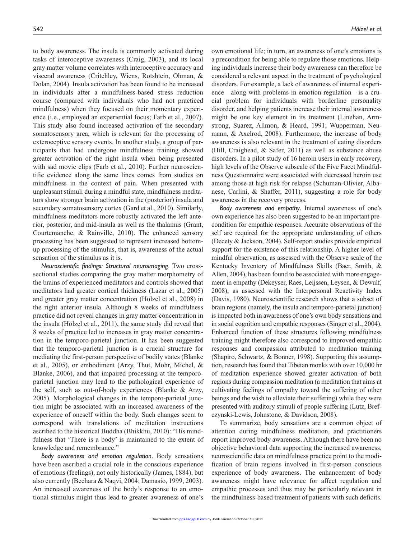to body awareness. The insula is commonly activated during tasks of interoceptive awareness (Craig, 2003), and its local gray matter volume correlates with interoceptive accuracy and visceral awareness (Critchley, Wiens, Rotshtein, Ohman, & Dolan, 2004). Insula activation has been found to be increased in individuals after a mindfulness-based stress reduction course (compared with individuals who had not practiced mindfulness) when they focused on their momentary experience (i.e., employed an experiential focus; Farb et al., 2007). This study also found increased activation of the secondary somatosensory area, which is relevant for the processing of exteroceptive sensory events. In another study, a group of par-

ticipants that had undergone mindfulness training showed greater activation of the right insula when being presented with sad movie clips (Farb et al., 2010). Further neuroscientific evidence along the same lines comes from studies on mindfulness in the context of pain. When presented with unpleasant stimuli during a mindful state, mindfulness meditators show stronger brain activation in the (posterior) insula and secondary somatosensory cortex (Gard et al., 2010). Similarly, mindfulness meditators more robustly activated the left anterior, posterior, and mid-insula as well as the thalamus (Grant, Courtemanche, & Rainville, 2010). The enhanced sensory processing has been suggested to represent increased bottomup processing of the stimulus, that is, awareness of the actual sensation of the stimulus as it is.

*Neuroscientific findings: Structural neuroimaging*. Two crosssectional studies comparing the gray matter morphometry of the brains of experienced meditators and controls showed that meditators had greater cortical thickness (Lazar et al., 2005) and greater gray matter concentration (Hölzel et al., 2008) in the right anterior insula. Although 8 weeks of mindfulness practice did not reveal changes in gray matter concentration in the insula (Hölzel et al., 2011), the same study did reveal that 8 weeks of practice led to increases in gray matter concentration in the temporo-parietal junction. It has been suggested that the temporo-parietal junction is a crucial structure for mediating the first-person perspective of bodily states (Blanke et al., 2005), or embodiment (Arzy, Thut, Mohr, Michel, & Blanke, 2006), and that impaired processing at the temporoparietal junction may lead to the pathological experience of the self, such as out-of-body experiences (Blanke & Arzy, 2005). Morphological changes in the temporo-parietal junction might be associated with an increased awareness of the experience of oneself within the body. Such changes seem to correspond with translations of meditation instructions ascribed to the historical Buddha (Bhikkhu, 2010): "His mindfulness that 'There is a body' is maintained to the extent of knowledge and remembrance."

*Body awareness and emotion regulation*. Body sensations have been ascribed a crucial role in the conscious experience of emotions (feelings), not only historically (James, 1884), but also currently (Bechara & Naqvi, 2004; Damasio, 1999, 2003). An increased awareness of the body's response to an emotional stimulus might thus lead to greater awareness of one's

own emotional life; in turn, an awareness of one's emotions is a precondition for being able to regulate those emotions. Helping individuals increase their body awareness can therefore be considered a relevant aspect in the treatment of psychological disorders. For example, a lack of awareness of internal experience—along with problems in emotion regulation—is a crucial problem for individuals with borderline personality disorder, and helping patients increase their internal awareness might be one key element in its treatment (Linehan, Armstrong, Suarez, Allmon, & Heard, 1991; Wupperman, Neumann, & Axelrod, 2008). Furthermore, the increase of body awareness is also relevant in the treatment of eating disorders (Hill, Craighead, & Safer, 2011) as well as substance abuse disorders. In a pilot study of 16 heroin users in early recovery, high levels of the Observe subscale of the Five Facet Mindfulness Questionnaire were associated with decreased heroin use among those at high risk for relapse (Schuman-Olivier, Albanese, Carlini, & Shaffer, 2011), suggesting a role for body awareness in the recovery process.

*Body awareness and empathy*. Internal awareness of one's own experience has also been suggested to be an important precondition for empathic responses. Accurate observations of the self are required for the appropriate understanding of others (Decety & Jackson, 2004). Self-report studies provide empirical support for the existence of this relationship. A higher level of mindful observation, as assessed with the Observe scale of the Kentucky Inventory of Mindfulness Skills (Baer, Smith, & Allen, 2004), has been found to be associated with more engagement in empathy (Dekeyser, Raes, Leijssen, Leysen, & Dewulf, 2008), as assessed with the Interpersonal Reactivity Index (Davis, 1980). Neuroscientific research shows that a subset of brain regions (namely, the insula and temporo-parietal junction) is impacted both in awareness of one's own body sensations and in social cognition and empathic responses (Singer et al., 2004). Enhanced function of these structures following mindfulness training might therefore also correspond to improved empathic responses and compassion attributed to meditation training (Shapiro, Schwartz, & Bonner, 1998). Supporting this assumption, research has found that Tibetan monks with over 10,000 hr of meditation experience showed greater activation of both regions during compassion meditation (a meditation that aims at cultivating feelings of empathy toward the suffering of other beings and the wish to alleviate their suffering) while they were presented with auditory stimuli of people suffering (Lutz, Brefczynski-Lewis, Johnstone, & Davidson, 2008).

To summarize, body sensations are a common object of attention during mindfulness meditation, and practitioners report improved body awareness. Although there have been no objective behavioral data supporting the increased awareness, neuroscientific data on mindfulness practice point to the modification of brain regions involved in first-person conscious experience of body awareness. The enhancement of body awareness might have relevance for affect regulation and empathic processes and thus may be particularly relevant in the mindfulness-based treatment of patients with such deficits.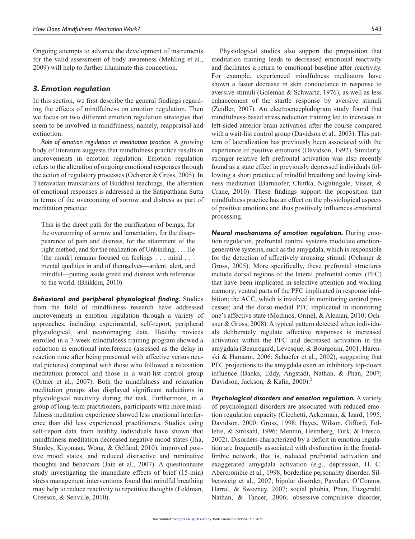Ongoing attempts to advance the development of instruments for the valid assessment of body awareness (Mehling et al., 2009) will help to further illuminate this connection.

#### *3. Emotion regulation*

In this section, we first describe the general findings regarding the effects of mindfulness on emotion regulation. Then we focus on two different emotion regulation strategies that seem to be involved in mindfulness, namely, reappraisal and extinction.

*Role of emotion regulation in meditation practice*. A growing body of literature suggests that mindfulness practice results in improvements in emotion regulation. Emotion regulation refers to the alteration of ongoing emotional responses through the action of regulatory processes (Ochsner & Gross, 2005). In Theravadan translations of Buddhist teachings, the alteration of emotional responses is addressed in the Satipatthana Sutta in terms of the overcoming of sorrow and distress as part of meditation practice:

This is the direct path for the purification of beings, for the overcoming of sorrow and lamentation, for the disappearance of pain and distress, for the attainment of the right method, and for the realization of Unbinding. . . . He [the monk] remains focused on feelings . . . mind . . . mental qualities in and of themselves—ardent, alert, and mindful—putting aside greed and distress with reference to the world. (Bhikkhu, 2010)

*Behavioral and peripheral physiological finding.* Studies from the field of mindfulness research have addressed improvements in emotion regulation through a variety of approaches, including experimental, self-report, peripheral physiological, and neuroimaging data. Healthy novices enrolled in a 7-week mindfulness training program showed a reduction in emotional interference (assessed as the delay in reaction time after being presented with affective versus neutral pictures) compared with those who followed a relaxation meditation protocol and those in a wait-list control group (Ortner et al., 2007). Both the mindfulness and relaxation meditation groups also displayed significant reductions in physiological reactivity during the task. Furthermore, in a group of long-term practitioners, participants with more mindfulness meditation experience showed less emotional interference than did less experienced practitioners. Studies using self-report data from healthy individuals have shown that mindfulness meditation decreased negative mood states (Jha, Stanley, Kiyonaga, Wong, & Gelfand, 2010), improved positive mood states, and reduced distractive and ruminative thoughts and behaviors (Jain et al., 2007). A questionnaire study investigating the immediate effects of brief (15-min) stress management interventions found that mindful breathing may help to reduce reactivity to repetitive thoughts (Feldman, Greeson, & Senville, 2010).

Physiological studies also support the proposition that meditation training leads to decreased emotional reactivity and facilitates a return to emotional baseline after reactivity. For example, experienced mindfulness meditators have shown a faster decrease in skin conductance in response to aversive stimuli (Goleman & Schwartz, 1976), as well as less enhancement of the startle response by aversive stimuli (Zeidler, 2007). An electroencephalogram study found that mindfulness-based stress reduction training led to increases in left-sided anterior brain activation after the course compared with a wait-list control group (Davidson et al., 2003). This pattern of lateralization has previously been associated with the experience of positive emotions (Davidson, 1992). Similarly, stronger relative left prefrontal activation was also recently found as a state effect in previously depressed individuals following a short practice of mindful breathing and loving kindness meditation (Barnhofer, Chittka, Nightingale, Visser, & Crane, 2010). These findings support the proposition that mindfulness practice has an effect on the physiological aspects of positive emotions and thus positively influences emotional processing.

*Neural mechanisms of emotion regulation.* During emotion regulation, prefrontal control systems modulate emotiongenerative systems, such as the amygdala, which is responsible for the detection of affectively arousing stimuli (Ochsner & Gross, 2005). More specifically, these prefrontal structures include dorsal regions of the lateral prefrontal cortex (PFC) that have been implicated in selective attention and working memory; ventral parts of the PFC implicated in response inhibition; the ACC, which is involved in monitoring control processes; and the dorso-medial PFC implicated in monitoring one's affective state (Modinos, Ormel, & Aleman, 2010; Ochsner & Gross, 2008). A typical pattern detected when individuals deliberately regulate affective responses is increased activation within the PFC and decreased activation in the amygdala (Beauregard, Levesque, & Bourgouin, 2001; Harenski & Hamann, 2006; Schaefer et al., 2002), suggesting that PFC projections to the amygdala exert an inhibitory top-down influence (Banks, Eddy, Angstadt, Nathan, & Phan, 2007; Davidson, Jackson, & Kalin, 2000).<sup>2</sup>

*Psychological disorders and emotion regulation.* A variety of psychological disorders are associated with reduced emotion regulation capacity (Cicchetti, Ackerman, & Izard, 1995; Davidson, 2000; Gross, 1998; Hayes, Wilson, Gifford, Follette, & Strosahl, 1996; Mennin, Heimberg, Turk, & Fresco, 2002). Disorders characterized by a deficit in emotion regulation are frequently associated with dysfunction in the frontallimbic network, that is, reduced prefrontal activation and exaggerated amygdala activation (e.g., depression, H. C. Abercrombie et al., 1998; borderline personality disorder, Silbersweig et al., 2007; bipolar disorder, Pavuluri, O'Connor, Harral, & Sweeney, 2007; social phobia, Phan, Fitzgerald, Nathan, & Tancer, 2006; obsessive-compulsive disorder,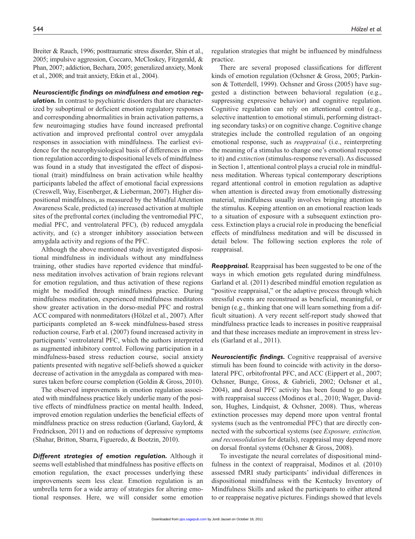*Neuroscientific findings on mindfulness and emotion regulation.* In contrast to psychiatric disorders that are characterized by suboptimal or deficient emotion regulatory responses and corresponding abnormalities in brain activation patterns, a few neuroimaging studies have found increased prefrontal activation and improved prefrontal control over amygdala responses in association with mindfulness. The earliest evidence for the neurophysiological basis of differences in emotion regulation according to dispositional levels of mindfulness was found in a study that investigated the effect of dispositional (trait) mindfulness on brain activation while healthy participants labeled the affect of emotional facial expressions (Creswell, Way, Eisenberger, & Lieberman, 2007). Higher dispositional mindfulness, as measured by the Mindful Attention Awareness Scale, predicted (a) increased activation at multiple sites of the prefrontal cortex (including the ventromedial PFC, medial PFC, and ventrolateral PFC), (b) reduced amygdala activity, and (c) a stronger inhibitory association between amygdala activity and regions of the PFC.

Although the above mentioned study investigated dispositional mindfulness in individuals without any mindfulness training, other studies have reported evidence that mindfulness meditation involves activation of brain regions relevant for emotion regulation, and thus activation of these regions might be modified through mindfulness practice. During mindfulness meditation, experienced mindfulness meditators show greater activation in the dorso-medial PFC and rostral ACC compared with nonmeditators (Hölzel et al., 2007). After participants completed an 8-week mindfulness-based stress reduction course, Farb et al. (2007) found increased activity in participants' ventrolateral PFC, which the authors interpreted as augmented inhibitory control. Following participation in a mindfulness-based stress reduction course, social anxiety patients presented with negative self-beliefs showed a quicker decrease of activation in the amygdala as compared with measures taken before course completion (Goldin & Gross, 2010).

The observed improvements in emotion regulation associated with mindfulness practice likely underlie many of the positive effects of mindfulness practice on mental health. Indeed, improved emotion regulation underlies the beneficial effects of mindfulness practice on stress reduction (Garland, Gaylord, & Fredrickson, 2011) and on reductions of depressive symptoms (Shahar, Britton, Sbarra, Figueredo, & Bootzin, 2010).

*Different strategies of emotion regulation.* Although it seems well established that mindfulness has positive effects on emotion regulation, the exact processes underlying these improvements seem less clear. Emotion regulation is an umbrella term for a wide array of strategies for altering emotional responses. Here, we will consider some emotion

regulation strategies that might be influenced by mindfulness practice.

There are several proposed classifications for different kinds of emotion regulation (Ochsner & Gross, 2005; Parkinson & Totterdell, 1999). Ochsner and Gross (2005) have suggested a distinction between behavioral regulation (e.g., suppressing expressive behavior) and cognitive regulation. Cognitive regulation can rely on attentional control (e.g., selective inattention to emotional stimuli, performing distracting secondary tasks) or on cognitive change. Cognitive change strategies include the controlled regulation of an ongoing emotional response, such as *reappraisal* (i.e., reinterpreting the meaning of a stimulus to change one's emotional response to it) and *extinction* (stimulus-response reversal). As discussed in Section 1, attentional control plays a crucial role in mindfulness meditation. Whereas typical contemporary descriptions regard attentional control in emotion regulation as adaptive when attention is directed away from emotionally distressing material, mindfulness usually involves bringing attention to the stimulus. Keeping attention on an emotional reaction leads to a situation of exposure with a subsequent extinction process. Extinction plays a crucial role in producing the beneficial effects of mindfulness meditation and will be discussed in detail below. The following section explores the role of reappraisal.

*Reappraisal.* Reappraisal has been suggested to be one of the ways in which emotion gets regulated during mindfulness. Garland et al. (2011) described mindful emotion regulation as "positive reappraisal," or the adaptive process through which stressful events are reconstrued as beneficial, meaningful, or benign (e.g., thinking that one will learn something from a difficult situation). A very recent self-report study showed that mindfulness practice leads to increases in positive reappraisal and that these increases mediate an improvement in stress levels (Garland et al., 2011).

*Neuroscientific findings.* Cognitive reappraisal of aversive stimuli has been found to coincide with activity in the dorsolateral PFC, orbitofrontal PFC, and ACC (Eippert et al., 2007; Ochsner, Bunge, Gross, & Gabrieli, 2002; Ochsner et al., 2004), and dorsal PFC activity has been found to go along with reappraisal success (Modinos et al., 2010; Wager, Davidson, Hughes, Lindquist, & Ochsner, 2008). Thus, whereas extinction processes may depend more upon ventral frontal systems (such as the ventromedial PFC) that are directly connected with the subcortical systems (see *Exposure, extinction, and reconsolidation* for details), reappraisal may depend more on dorsal frontal systems (Ochsner & Gross, 2008).

To investigate the neural correlates of dispositional mindfulness in the context of reappraisal, Modinos et al. (2010) assessed fMRI study participants' individual differences in dispositional mindfulness with the Kentucky Inventory of Mindfulness Skills and asked the participants to either attend to or reappraise negative pictures. Findings showed that levels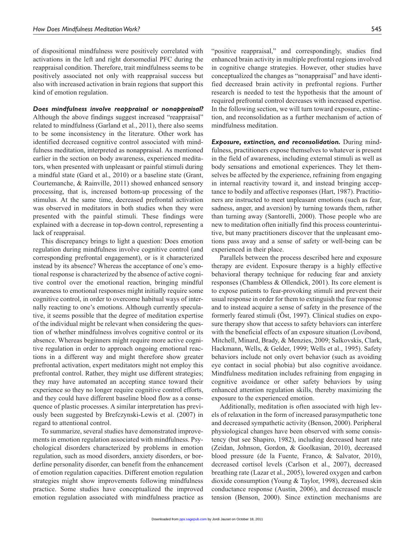of dispositional mindfulness were positively correlated with activations in the left and right dorsomedial PFC during the reappraisal condition. Therefore, trait mindfulness seems to be positively associated not only with reappraisal success but also with increased activation in brain regions that support this kind of emotion regulation.

*Does mindfulness involve reappraisal or nonappraisal?*  Although the above findings suggest increased "reappraisal" related to mindfulness (Garland et al., 2011), there also seems to be some inconsistency in the literature. Other work has identified decreased cognitive control associated with mindfulness meditation, interpreted as nonappraisal. As mentioned earlier in the section on body awareness, experienced meditators, when presented with unpleasant or painful stimuli during a mindful state (Gard et al., 2010) or a baseline state (Grant, Courtemanche, & Rainville, 2011) showed enhanced sensory processing, that is, increased bottom-up processing of the stimulus. At the same time, decreased prefrontal activation was observed in meditators in both studies when they were presented with the painful stimuli. These findings were explained with a decrease in top-down control, representing a lack of reappraisal.

This discrepancy brings to light a question: Does emotion regulation during mindfulness involve cognitive control (and corresponding prefrontal engagement), or is it characterized instead by its absence? Whereas the acceptance of one's emotional response is characterized by the absence of active cognitive control over the emotional reaction, bringing mindful awareness to emotional responses might initially require some cognitive control, in order to overcome habitual ways of internally reacting to one's emotions. Although currently speculative, it seems possible that the degree of meditation expertise of the individual might be relevant when considering the question of whether mindfulness involves cognitive control or its absence. Whereas beginners might require more active cognitive regulation in order to approach ongoing emotional reactions in a different way and might therefore show greater prefrontal activation, expert meditators might not employ this prefrontal control. Rather, they might use different strategies; they may have automated an accepting stance toward their experience so they no longer require cognitive control efforts, and they could have different baseline blood flow as a consequence of plastic processes. A similar interpretation has previously been suggested by Brefczynski-Lewis et al. (2007) in regard to attentional control.

To summarize, several studies have demonstrated improvements in emotion regulation associated with mindfulness. Psychological disorders characterized by problems in emotion regulation, such as mood disorders, anxiety disorders, or borderline personality disorder, can benefit from the enhancement of emotion regulation capacities. Different emotion regulation strategies might show improvements following mindfulness practice. Some studies have conceptualized the improved emotion regulation associated with mindfulness practice as

"positive reappraisal," and correspondingly, studies find enhanced brain activity in multiple prefrontal regions involved in cognitive change strategies. However, other studies have conceptualized the changes as "nonappraisal" and have identified decreased brain activity in prefrontal regions. Further research is needed to test the hypothesis that the amount of required prefrontal control decreases with increased expertise. In the following section, we will turn toward exposure, extinction, and reconsolidation as a further mechanism of action of mindfulness meditation.

*Exposure, extinction, and reconsolidation.* During mindfulness, practitioners expose themselves to whatever is present in the field of awareness, including external stimuli as well as body sensations and emotional experiences. They let themselves be affected by the experience, refraining from engaging in internal reactivity toward it, and instead bringing acceptance to bodily and affective responses (Hart, 1987). Practitioners are instructed to meet unpleasant emotions (such as fear, sadness, anger, and aversion) by turning towards them, rather than turning away (Santorelli, 2000). Those people who are new to meditation often initially find this process counterintuitive, but many practitioners discover that the unpleasant emotions pass away and a sense of safety or well-being can be experienced in their place.

Parallels between the process described here and exposure therapy are evident. Exposure therapy is a highly effective behavioral therapy technique for reducing fear and anxiety responses (Chambless & Ollendick, 2001). Its core element is to expose patients to fear-provoking stimuli and prevent their usual response in order for them to extinguish the fear response and to instead acquire a sense of safety in the presence of the formerly feared stimuli (Öst, 1997). Clinical studies on exposure therapy show that access to safety behaviors can interfere with the beneficial effects of an exposure situation (Lovibond, Mitchell, Minard, Brady, & Menzies, 2009; Salkovskis, Clark, Hackmann, Wells, & Gelder, 1999; Wells et al., 1995). Safety behaviors include not only overt behavior (such as avoiding eye contact in social phobia) but also cognitive avoidance. Mindfulness meditation includes refraining from engaging in cognitive avoidance or other safety behaviors by using enhanced attention regulation skills, thereby maximizing the exposure to the experienced emotion.

Additionally, meditation is often associated with high levels of relaxation in the form of increased parasympathetic tone and decreased sympathetic activity (Benson, 2000). Peripheral physiological changes have been observed with some consistency (but see Shapiro, 1982), including decreased heart rate (Zeidan, Johnson, Gordon, & Goolkasian, 2010), decreased blood pressure (de la Fuente, Franco, & Salvator, 2010), decreased cortisol levels (Carlson et al., 2007), decreased breathing rate (Lazar et al., 2005), lowered oxygen and carbon dioxide consumption (Young & Taylor, 1998), decreased skin conductance response (Austin, 2006), and decreased muscle tension (Benson, 2000). Since extinction mechanisms are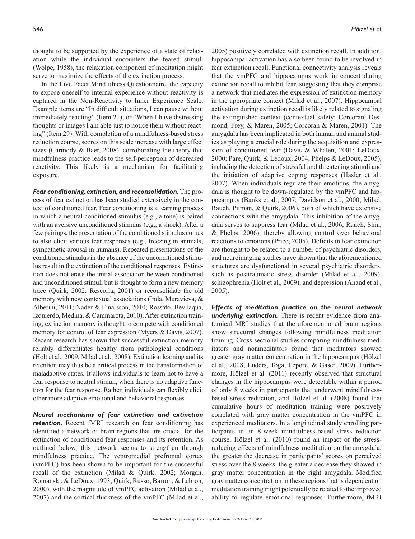thought to be supported by the experience of a state of relaxation while the individual encounters the feared stimuli (Wolpe, 1958), the relaxation component of meditation might serve to maximize the effects of the extinction process.

In the Five Facet Mindfulness Questionnaire, the capacity to expose oneself to internal experience without reactivity is captured in the Non-Reactivity to Inner Experience Scale. Example items are "In difficult situations, I can pause without immediately reacting" (Item 21), or "When I have distressing thoughts or images I am able just to notice them without reacting" (Item 29). With completion of a mindfulness-based stress reduction course, scores on this scale increase with large effect sizes (Carmody & Baer, 2008), corroborating the theory that mindfulness practice leads to the self-perception of decreased reactivity. This likely is a mechanism for facilitating exposure.

*Fear conditioning, extinction, and reconsolidation.* The process of fear extinction has been studied extensively in the context of conditioned fear. Fear conditioning is a learning process in which a neutral conditioned stimulus (e.g., a tone) is paired with an aversive unconditioned stimulus (e.g., a shock). After a few pairings, the presentation of the conditioned stimulus comes to also elicit various fear responses (e.g., freezing in animals; sympathetic arousal in humans). Repeated presentations of the conditioned stimulus in the absence of the unconditioned stimulus result in the extinction of the conditioned responses. Extinction does not erase the initial association between conditioned and unconditioned stimuli but is thought to form a new memory trace (Quirk, 2002; Rescorla, 2001) or reconsolidate the old memory with new contextual associations (Inda, Muravieva, & Alberini, 2011; Nader & Einarsson, 2010; Rossato, Bevilaqua, Izquierdo, Medina, & Cammarota, 2010). After extinction training, extinction memory is thought to compete with conditioned memory for control of fear expression (Myers & Davis, 2007). Recent research has shown that successful extinction memory reliably differentiates healthy from pathological conditions (Holt et al., 2009; Milad et al., 2008). Extinction learning and its retention may thus be a critical process in the transformation of maladaptive states. It allows individuals to learn not to have a fear response to neutral stimuli, when there is no adaptive function for the fear response. Rather, individuals can flexibly elicit other more adaptive emotional and behavioral responses.

*Neural mechanisms of fear extinction and extinction retention.* Recent fMRI research on fear conditioning has identified a network of brain regions that are crucial for the extinction of conditioned fear responses and its retention. As outlined below, this network seems to strengthen through mindfulness practice. The ventromedial prefrontal cortex (vmPFC) has been shown to be important for the successful recall of the extinction (Milad & Quirk, 2002; Morgan, Romanski, & LeDoux, 1993; Quirk, Russo, Barron, & Lebron, 2000), with the magnitude of vmPFC activation (Milad et al., 2007) and the cortical thickness of the vmPFC (Milad et al.,

2005) positively correlated with extinction recall. In addition, hippocampal activation has also been found to be involved in fear extinction recall. Functional connectivity analysis reveals that the vmPFC and hippocampus work in concert during extinction recall to inhibit fear, suggesting that they comprise a network that mediates the expression of extinction memory in the appropriate context (Milad et al., 2007). Hippocampal activation during extinction recall is likely related to signaling the extinguished context (contextual safety; Corcoran, Desmond, Frey, & Maren, 2005; Corcoran & Maren, 2001). The amygdala has been implicated in both human and animal studies as playing a crucial role during the acquisition and expression of conditioned fear (Davis & Whalen, 2001; LeDoux, 2000; Pare, Quirk, & Ledoux, 2004; Phelps & LeDoux, 2005), including the detection of stressful and threatening stimuli and the initiation of adaptive coping responses (Hasler et al., 2007). When individuals regulate their emotions, the amygdala is thought to be down-regulated by the vmPFC and hippocampus (Banks et al., 2007; Davidson et al., 2000; Milad, Rauch, Pitman, & Quirk, 2006), both of which have extensive connections with the amygdala. This inhibition of the amygdala serves to suppress fear (Milad et al., 2006; Rauch, Shin, & Phelps, 2006), thereby allowing control over behavioral reactions to emotions (Price, 2005). Deficits in fear extinction are thought to be related to a number of psychiatric disorders, and neuroimaging studies have shown that the aforementioned structures are dysfunctional in several psychiatric disorders, such as posttraumatic stress disorder (Milad et al., 2009), schizophrenia (Holt et al., 2009), and depression (Anand et al., 2005).

*Effects of meditation practice on the neural network underlying extinction.* There is recent evidence from anatomical MRI studies that the aforementioned brain regions show structural changes following mindfulness meditation training. Cross-sectional studies comparing mindfulness meditators and nonmeditators found that meditators showed greater gray matter concentration in the hippocampus (Hölzel et al., 2008; Luders, Toga, Lepore, & Gaser, 2009). Furthermore, Hölzel et al. (2011) recently observed that structural changes in the hippocampus were detectable within a period of only 8 weeks in participants that underwent mindfulnessbased stress reduction, and Hölzel et al. (2008) found that cumulative hours of meditation training were positively correlated with gray matter concentration in the vmPFC in experienced meditators. In a longitudinal study enrolling participants in an 8-week mindfulness-based stress reduction course, Hölzel et al. (2010) found an impact of the stressreducing effects of mindfulness meditation on the amygdala; the greater the decrease in participants' scores on perceived stress over the 8 weeks, the greater a decrease they showed in gray matter concentration in the right amygdala. Modified gray matter concentration in these regions that is dependent on meditation training might potentially be related to the improved ability to regulate emotional responses. Furthermore, fMRI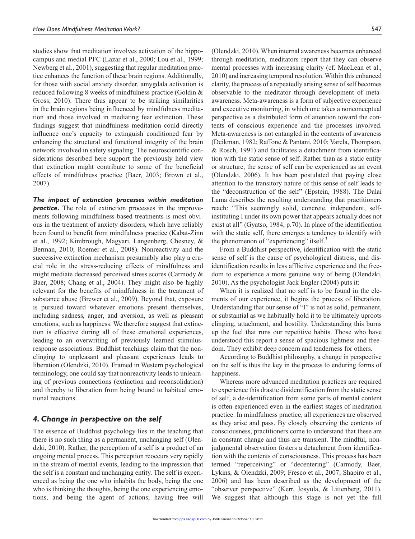studies show that meditation involves activation of the hippocampus and medial PFC (Lazar et al., 2000; Lou et al., 1999; Newberg et al., 2001), suggesting that regular meditation practice enhances the function of these brain regions. Additionally, for those with social anxiety disorder, amygdala activation is reduced following 8 weeks of mindfulness practice (Goldin & Gross, 2010). There thus appear to be striking similarities in the brain regions being influenced by mindfulness meditation and those involved in mediating fear extinction. These findings suggest that mindfulness meditation could directly influence one's capacity to extinguish conditioned fear by enhancing the structural and functional integrity of the brain network involved in safety signaling. The neuroscientific considerations described here support the previously held view that extinction might contribute to some of the beneficial effects of mindfulness practice (Baer, 2003; Brown et al., 2007).

*The impact of extinction processes within meditation*  **practice.** The role of extinction processes in the improvements following mindfulness-based treatments is most obvious in the treatment of anxiety disorders, which have reliably been found to benefit from mindfulness practice (Kabat-Zinn et al., 1992; Kimbrough, Magyari, Langenberg, Chesney, & Berman, 2010; Roemer et al., 2008). Nonreactivity and the successive extinction mechanism presumably also play a crucial role in the stress-reducing effects of mindfulness and might mediate decreased perceived stress scores (Carmody & Baer, 2008; Chang et al., 2004). They might also be highly relevant for the benefits of mindfulness in the treatment of substance abuse (Brewer et al., 2009). Beyond that, exposure is pursued toward whatever emotions present themselves, including sadness, anger, and aversion, as well as pleasant emotions, such as happiness. We therefore suggest that extinction is effective during all of these emotional experiences, leading to an overwriting of previously learned stimulusresponse associations. Buddhist teachings claim that the nonclinging to unpleasant and pleasant experiences leads to liberation (Olendzki, 2010). Framed in Western psychological terminology, one could say that nonreactivity leads to unlearning of previous connections (extinction and reconsolidation) and thereby to liberation from being bound to habitual emotional reactions.

## *4. Change in perspective on the self*

The essence of Buddhist psychology lies in the teaching that there is no such thing as a permanent, unchanging self (Olendzki, 2010). Rather, the perception of a self is a product of an ongoing mental process. This perception reoccurs very rapidly in the stream of mental events, leading to the impression that the self is a constant and unchanging entity. The self is experienced as being the one who inhabits the body, being the one who is thinking the thoughts, being the one experiencing emotions, and being the agent of actions; having free will

(Olendzki, 2010). When internal awareness becomes enhanced through meditation, meditators report that they can observe mental processes with increasing clarity (cf. MacLean et al., 2010) and increasing temporal resolution. Within this enhanced clarity, the process of a repeatedly arising sense of self becomes observable to the meditator through development of metaawareness. Meta-awareness is a form of subjective experience and executive monitoring, in which one takes a nonconceptual perspective as a distributed form of attention toward the contents of conscious experience and the processes involved. Meta-awareness is not entangled in the contents of awareness (Deikman, 1982; Raffone & Pantani, 2010; Varela, Thompson, & Rosch, 1991) and facilitates a detachment from identification with the static sense of self. Rather than as a static entity or structure, the sense of self can be experienced as an event (Olendzki, 2006). It has been postulated that paying close attention to the transitory nature of this sense of self leads to the "deconstruction of the self" (Epstein, 1988). The Dalai Lama describes the resulting understanding that practitioners reach: "This seemingly solid, concrete, independent, selfinstituting I under its own power that appears actually does not exist at all" (Gyatso, 1984, p.70). In place of the identification with the static self, there emerges a tendency to identify with the phenomenon of "experiencing" itself. $3$ 

From a Buddhist perspective, identification with the static sense of self is the cause of psychological distress, and disidentification results in less afflictive experience and the freedom to experience a more genuine way of being (Olendzki, 2010). As the psychologist Jack Engler (2004) puts it:

When it is realized that no self is to be found in the elements of our experience, it begins the process of liberation. Understanding that our sense of "I" is not as solid, permanent, or substantial as we habitually hold it to be ultimately uproots clinging, attachment, and hostility. Understanding this burns up the fuel that runs our repetitive habits. Those who have understood this report a sense of spacious lightness and freedom. They exhibit deep concern and tenderness for others.

According to Buddhist philosophy, a change in perspective on the self is thus the key in the process to enduring forms of happiness.

Whereas more advanced meditation practices are required to experience this drastic disidentification from the static sense of self, a de-identification from some parts of mental content is often experienced even in the earliest stages of meditation practice. In mindfulness practice, all experiences are observed as they arise and pass. By closely observing the contents of consciousness, practitioners come to understand that these are in constant change and thus are transient. The mindful, nonjudgmental observation fosters a detachment from identification with the contents of consciousness. This process has been termed "reperceiving" or "decentering" (Carmody, Baer, Lykins, & Olendzki, 2009; Fresco et al., 2007; Shapiro et al., 2006) and has been described as the development of the "observer perspective" (Kerr, Josyula, & Littenberg, 2011). We suggest that although this stage is not yet the full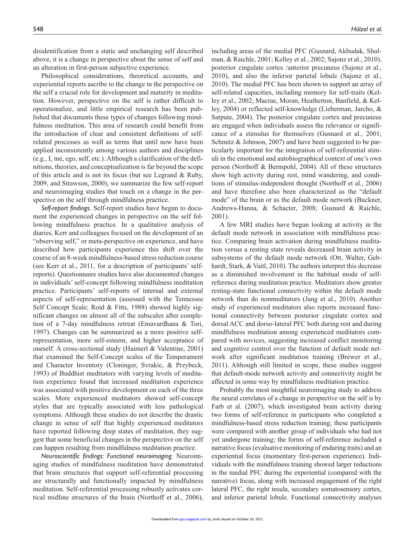disidentification from a static and unchanging self described above, it is a change in perspective about the sense of self and an alteration in first-person subjective experience.

Philosophical considerations, theoretical accounts, and experiential reports ascribe to the change in the perspective on the self a crucial role for development and maturity in meditation. However, perspective on the self is rather difficult to operationalize, and little empirical research has been published that documents these types of changes following mindfulness meditation. This area of research could benefit from the introduction of clear and consistent definitions of selfrelated processes as well as terms that until now have been applied inconsistently among various authors and disciplines (e.g., I, me, ego, self, etc.). Although a clarification of the definitions, theories, and conceptualization is far beyond the scope of this article and is not its focus (but see Legrand  $& Ruby,$ 2009, and Strawson, 2000), we summarize the few self-report and neuroimaging studies that touch on a change in the perspective on the self through mindfulness practice.

*Self-report findings*. Self-report studies have begun to document the experienced changes in perspective on the self following mindfulness practice. In a qualitative analysis of diaries, Kerr and colleagues focused on the development of an "observing self," or meta-perspective on experience, and have described how participants experience this shift over the course of an 8-week mindfulness-based stress reduction course (see Kerr et al., 2011, for a description of participants' selfreports). Questionnaire studies have also documented changes in individuals' self-concept following mindfulness meditation practice. Participants' self-reports of internal and external aspects of self-representation (assessed with the Tennessee Self Concept Scale; Roid & Fitts, 1988) showed highly significant changes on almost all of the subscales after completion of a 7-day mindfulness retreat (Emavardhana & Tori, 1997). Changes can be summarized as a more positive selfrepresentation, more self-esteem, and higher acceptance of oneself. A cross-sectional study (Haimerl & Valentine, 2001) that examined the Self-Concept scales of the Temperament and Character Inventory (Cloninger, Svrakic, & Przybeck, 1993) of Buddhist meditators with varying levels of meditation experience found that increased meditation experience was associated with positive development on each of the three scales. More experienced meditators showed self-concept styles that are typically associated with less pathological symptoms. Although these studies do not describe the drastic change in sense of self that highly experienced meditators have reported following deep states of meditation, they suggest that some beneficial changes in the perspective on the self can happen resulting from mindfulness meditation practice.

*Neuroscientific findings: Functional neuroimaging*. Neuroimaging studies of mindfulness meditation have demonstrated that brain structures that support self-referential processing are structurally and functionally impacted by mindfulness meditation. Self-referential processing robustly activates cortical midline structures of the brain (Northoff et al., 2006),

including areas of the medial PFC (Gusnard, Akbudak, Shulman, & Raichle, 2001; Kelley et al., 2002; Sajonz et al., 2010), posterior cingulate cortex /anterior precuneus (Sajonz et al., 2010), and also the inferior parietal lobule (Sajonz et al., 2010). The medial PFC has been shown to support an array of self-related capacities, including memory for self-traits (Kelley et al., 2002; Macrae, Moran, Heatherton, Banfield, & Kelley, 2004) or reflected self-knowledge (Lieberman, Jarcho, & Satpute, 2004). The posterior cingulate cortex and precuneus are engaged when individuals assess the relevance or significance of a stimulus for themselves (Gusnard et al., 2001; Schmitz & Johnson, 2007) and have been suggested to be particularly important for the integration of self-referential stimuli in the emotional and autobiographical context of one's own person (Northoff & Bermpohl, 2004). All of these structures show high activity during rest, mind wandering, and conditions of stimulus-independent thought (Northoff et al., 2006) and have therefore also been characterized as the "default mode" of the brain or as the default mode network (Buckner, Andrews-Hanna, & Schacter, 2008; Gusnard & Raichle, 2001).

A few MRI studies have begun looking at activity in the default mode network in association with mindfulness practice. Comparing brain activation during mindfulness meditation versus a resting state reveals decreased brain activity in subsystems of the default mode network (Ott, Walter, Gebhardt, Stark, & Vaitl, 2010). The authors interpret this decrease as a diminished involvement in the habitual mode of selfreference during meditation practice. Meditators show greater resting-state functional connectivity within the default mode network than do nonmeditators (Jang et al., 2010). Another study of experienced meditators also reports increased functional connectivity between posterior cingulate cortex and dorsal ACC and dorso-lateral PFC both during rest and during mindfulness meditation among experienced meditators compared with novices, suggesting increased conflict monitoring and cognitive control over the function of default mode network after significant meditation training (Brewer et al., 2011). Although still limited in scope, these studies suggest that default-mode network activity and connectivity might be affected in some way by mindfulness meditation practice.

Probably the most insightful neuroimaging study to address the neural correlates of a change in perspective on the self is by Farb et al. (2007), which investigated brain activity during two forms of self-reference in participants who completed a mindfulness-based stress reduction training; these participants were compared with another group of individuals who had not yet undergone training; the forms of self-reference included a narrative focus (evaluative monitoring of enduring traits) and an experiential focus (momentary first-person experience). Individuals with the mindfulness training showed larger reductions in the medial PFC during the experiential (compared with the narrative) focus, along with increased engagement of the right lateral PFC, the right insula, secondary somatosensory cortex, and inferior parietal lobule. Functional connectivity analyses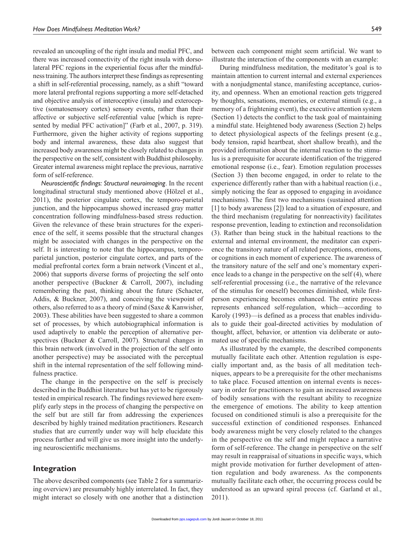revealed an uncoupling of the right insula and medial PFC, and there was increased connectivity of the right insula with dorsolateral PFC regions in the experiential focus after the mindfulness training. The authors interpret these findings as representing a shift in self-referential processing, namely, as a shift "toward more lateral prefrontal regions supporting a more self-detached and objective analysis of interoceptive (insula) and exteroceptive (somatosensory cortex) sensory events, rather than their affective or subjective self-referential value [which is represented by medial PFC activation]" (Farb et al., 2007, p. 319). Furthermore, given the higher activity of regions supporting body and internal awareness, these data also suggest that increased body awareness might be closely related to changes in the perspective on the self, consistent with Buddhist philosophy. Greater internal awareness might replace the previous, narrative form of self-reference.

*Neuroscientific findings: Structural neuroimaging*. In the recent longitudinal structural study mentioned above (Hölzel et al., 2011), the posterior cingulate cortex, the temporo-parietal junction, and the hippocampus showed increased gray matter concentration following mindfulness-based stress reduction. Given the relevance of these brain structures for the experience of the self, it seems possible that the structural changes might be associated with changes in the perspective on the self. It is interesting to note that the hippocampus, temporoparietal junction, posterior cingulate cortex, and parts of the medial prefrontal cortex form a brain network (Vincent et al., 2006) that supports diverse forms of projecting the self onto another perspective (Buckner & Carroll, 2007), including remembering the past, thinking about the future (Schacter, Addis, & Buckner, 2007), and conceiving the viewpoint of others, also referred to as a theory of mind (Saxe & Kanwisher, 2003). These abilities have been suggested to share a common set of processes, by which autobiographical information is used adaptively to enable the perception of alternative perspectives (Buckner & Carroll, 2007). Structural changes in this brain network (involved in the projection of the self onto another perspective) may be associated with the perceptual shift in the internal representation of the self following mindfulness practice.

The change in the perspective on the self is precisely described in the Buddhist literature but has yet to be rigorously tested in empirical research. The findings reviewed here exemplify early steps in the process of changing the perspective on the self but are still far from addressing the experiences described by highly trained meditation practitioners. Research studies that are currently under way will help elucidate this process further and will give us more insight into the underlying neuroscientific mechanisms.

#### **Integration**

The above described components (see Table 2 for a summarizing overview) are presumably highly interrelated. In fact, they might interact so closely with one another that a distinction between each component might seem artificial. We want to illustrate the interaction of the components with an example:

During mindfulness meditation, the meditator's goal is to maintain attention to current internal and external experiences with a nonjudgmental stance, manifesting acceptance, curiosity, and openness. When an emotional reaction gets triggered by thoughts, sensations, memories, or external stimuli (e.g., a memory of a frightening event), the executive attention system (Section 1) detects the conflict to the task goal of maintaining a mindful state. Heightened body awareness (Section 2) helps to detect physiological aspects of the feelings present (e.g., body tension, rapid heartbeat, short shallow breath), and the provided information about the internal reaction to the stimulus is a prerequisite for accurate identification of the triggered emotional response (i.e., fear). Emotion regulation processes (Section 3) then become engaged, in order to relate to the experience differently rather than with a habitual reaction (i.e., simply noticing the fear as opposed to engaging in avoidance mechanisms). The first two mechanisms (sustained attention [1] to body awareness [2]) lead to a situation of exposure, and the third mechanism (regulating for nonreactivity) facilitates response prevention, leading to extinction and reconsolidation (3). Rather than being stuck in the habitual reactions to the external and internal environment, the meditator can experience the transitory nature of all related perceptions, emotions, or cognitions in each moment of experience. The awareness of the transitory nature of the self and one's momentary experience leads to a change in the perspective on the self (4), where self-referential processing (i.e., the narrative of the relevance of the stimulus for oneself) becomes diminished, while firstperson experiencing becomes enhanced. The entire process represents enhanced self-regulation, which—according to Karoly (1993)—is defined as a process that enables individuals to guide their goal-directed activities by modulation of thought, affect, behavior, or attention via deliberate or automated use of specific mechanisms.

As illustrated by the example, the described components mutually facilitate each other. Attention regulation is especially important and, as the basis of all meditation techniques, appears to be a prerequisite for the other mechanisms to take place. Focused attention on internal events is necessary in order for practitioners to gain an increased awareness of bodily sensations with the resultant ability to recognize the emergence of emotions. The ability to keep attention focused on conditioned stimuli is also a prerequisite for the successful extinction of conditioned responses. Enhanced body awareness might be very closely related to the changes in the perspective on the self and might replace a narrative form of self-reference. The change in perspective on the self may result in reappraisal of situations in specific ways, which might provide motivation for further development of attention regulation and body awareness. As the components mutually facilitate each other, the occurring process could be understood as an upward spiral process (cf. Garland et al., 2011).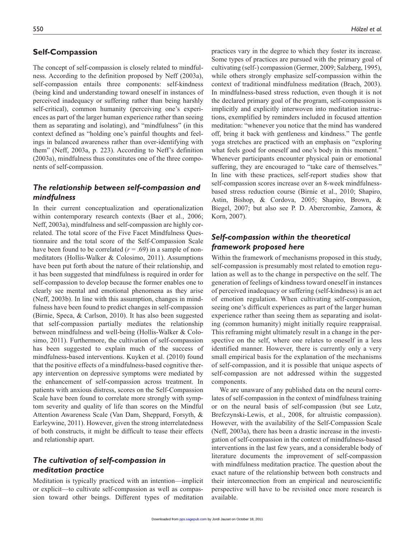## **Self-Compassion**

The concept of self-compassion is closely related to mindfulness. According to the definition proposed by Neff (2003a), self-compassion entails three components: self-kindness (being kind and understanding toward oneself in instances of perceived inadequacy or suffering rather than being harshly self-critical), common humanity (perceiving one's experiences as part of the larger human experience rather than seeing them as separating and isolating), and "mindfulness" (in this context defined as "holding one's painful thoughts and feelings in balanced awareness rather than over-identifying with them" (Neff, 2003a, p. 223). According to Neff's definition (2003a), mindfulness thus constitutes one of the three components of self-compassion.

# *The relationship between self-compassion and mindfulness*

In their current conceptualization and operationalization within contemporary research contexts (Baer et al., 2006; Neff, 2003a), mindfulness and self-compassion are highly correlated. The total score of the Five Facet Mindfulness Questionnaire and the total score of the Self-Compassion Scale have been found to be correlated  $(r = .69)$  in a sample of nonmeditators (Hollis-Walker & Colosimo, 2011). Assumptions have been put forth about the nature of their relationship, and it has been suggested that mindfulness is required in order for self-compassion to develop because the former enables one to clearly see mental and emotional phenomena as they arise (Neff, 2003b). In line with this assumption, changes in mindfulness have been found to predict changes in self-compassion (Birnie, Speca, & Carlson, 2010). It has also been suggested that self-compassion partially mediates the relationship between mindfulness and well-being (Hollis-Walker & Colosimo, 2011). Furthermore, the cultivation of self-compassion has been suggested to explain much of the success of mindfulness-based interventions. Kuyken et al. (2010) found that the positive effects of a mindfulness-based cognitive therapy intervention on depressive symptoms were mediated by the enhancement of self-compassion across treatment. In patients with anxious distress, scores on the Self-Compassion Scale have been found to correlate more strongly with symptom severity and quality of life than scores on the Mindful Attention Awareness Scale (Van Dam, Sheppard, Forsyth, & Earleywine, 2011). However, given the strong interrelatedness of both constructs, it might be difficult to tease their effects and relationship apart.

# *The cultivation of self-compassion in meditation practice*

Meditation is typically practiced with an intention—implicit or explicit—to cultivate self-compassion as well as compassion toward other beings. Different types of meditation

practices vary in the degree to which they foster its increase. Some types of practices are pursued with the primary goal of cultivating (self-) compassion (Germer, 2009; Salzberg, 1995), while others strongly emphasize self-compassion within the context of traditional mindfulness meditation (Brach, 2003). In mindfulness-based stress reduction, even though it is not the declared primary goal of the program, self-compassion is implicitly and explicitly interwoven into meditation instructions, exemplified by reminders included in focused attention meditation: "whenever you notice that the mind has wandered off, bring it back with gentleness and kindness." The gentle yoga stretches are practiced with an emphasis on "exploring what feels good for oneself and one's body in this moment." Whenever participants encounter physical pain or emotional suffering, they are encouraged to "take care of themselves." In line with these practices, self-report studies show that self-compassion scores increase over an 8-week mindfulnessbased stress reduction course (Birnie et al., 2010; Shapiro, Astin, Bishop, & Cordova, 2005; Shapiro, Brown, & Biegel, 2007; but also see P. D. Abercrombie, Zamora, & Korn, 2007).

# *Self-compassion within the theoretical framework proposed here*

Within the framework of mechanisms proposed in this study, self-compassion is presumably most related to emotion regulation as well as to the change in perspective on the self. The generation of feelings of kindness toward oneself in instances of perceived inadequacy or suffering (self-kindness) is an act of emotion regulation. When cultivating self-compassion, seeing one's difficult experiences as part of the larger human experience rather than seeing them as separating and isolating (common humanity) might initially require reappraisal. This reframing might ultimately result in a change in the perspective on the self, where one relates to oneself in a less identified manner. However, there is currently only a very small empirical basis for the explanation of the mechanisms of self-compassion, and it is possible that unique aspects of self-compassion are not addressed within the suggested components.

We are unaware of any published data on the neural correlates of self-compassion in the context of mindfulness training or on the neural basis of self-compassion (but see Lutz, Brefczynski-Lewis, et al., 2008, for altruistic compassion). However, with the availability of the Self-Compassion Scale (Neff, 2003a), there has been a drastic increase in the investigation of self-compassion in the context of mindfulness-based interventions in the last few years, and a considerable body of literature documents the improvement of self-compassion with mindfulness meditation practice. The question about the exact nature of the relationship between both constructs and their interconnection from an empirical and neuroscientific perspective will have to be revisited once more research is available.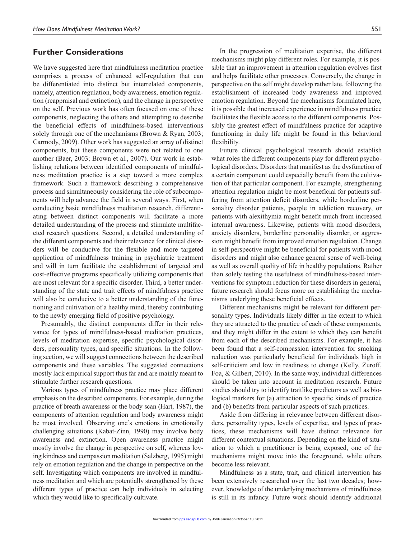## **Further Considerations**

We have suggested here that mindfulness meditation practice comprises a process of enhanced self-regulation that can be differentiated into distinct but interrelated components, namely, attention regulation, body awareness, emotion regulation (reappraisal and extinction), and the change in perspective on the self. Previous work has often focused on one of these components, neglecting the others and attempting to describe the beneficial effects of mindfulness-based interventions solely through one of the mechanisms (Brown & Ryan, 2003; Carmody, 2009). Other work has suggested an array of distinct components, but these components were not related to one another (Baer, 2003; Brown et al., 2007). Our work in establishing relations between identified components of mindfulness meditation practice is a step toward a more complex framework. Such a framework describing a comprehensive process and simultaneously considering the role of subcomponents will help advance the field in several ways. First, when conducting basic mindfulness meditation research, differentiating between distinct components will facilitate a more detailed understanding of the process and stimulate multifaceted research questions. Second, a detailed understanding of the different components and their relevance for clinical disorders will be conducive for the flexible and more targeted application of mindfulness training in psychiatric treatment and will in turn facilitate the establishment of targeted and cost-effective programs specifically utilizing components that are most relevant for a specific disorder. Third, a better understanding of the state and trait effects of mindfulness practice will also be conducive to a better understanding of the functioning and cultivation of a healthy mind, thereby contributing to the newly emerging field of positive psychology.

Presumably, the distinct components differ in their relevance for types of mindfulness-based meditation practices, levels of meditation expertise, specific psychological disorders, personality types, and specific situations. In the following section, we will suggest connections between the described components and these variables. The suggested connections mostly lack empirical support thus far and are mainly meant to stimulate further research questions.

Various types of mindfulness practice may place different emphasis on the described components. For example, during the practice of breath awareness or the body scan (Hart, 1987), the components of attention regulation and body awareness might be most involved. Observing one's emotions in emotionally challenging situations (Kabat-Zinn, 1990) may involve body awareness and extinction. Open awareness practice might mostly involve the change in perspective on self, whereas loving kindness and compassion meditation (Salzberg, 1995) might rely on emotion regulation and the change in perspective on the self. Investigating which components are involved in mindfulness meditation and which are potentially strengthened by these different types of practice can help individuals in selecting which they would like to specifically cultivate.

In the progression of meditation expertise, the different mechanisms might play different roles. For example, it is possible that an improvement in attention regulation evolves first and helps facilitate other processes. Conversely, the change in perspective on the self might develop rather late, following the establishment of increased body awareness and improved emotion regulation. Beyond the mechanisms formulated here, it is possible that increased experience in mindfulness practice facilitates the flexible access to the different components. Possibly the greatest effect of mindfulness practice for adaptive functioning in daily life might be found in this behavioral flexibility.

Future clinical psychological research should establish what roles the different components play for different psychological disorders. Disorders that manifest as the dysfunction of a certain component could especially benefit from the cultivation of that particular component. For example, strengthening attention regulation might be most beneficial for patients suffering from attention deficit disorders, while borderline personality disorder patients, people in addiction recovery, or patients with alexithymia might benefit much from increased internal awareness. Likewise, patients with mood disorders, anxiety disorders, borderline personality disorder, or aggression might benefit from improved emotion regulation. Change in self-perspective might be beneficial for patients with mood disorders and might also enhance general sense of well-being as well as overall quality of life in healthy populations. Rather than solely testing the usefulness of mindfulness-based interventions for symptom reduction for these disorders in general, future research should focus more on establishing the mechanisms underlying these beneficial effects.

Different mechanisms might be relevant for different personality types. Individuals likely differ in the extent to which they are attracted to the practice of each of these components, and they might differ in the extent to which they can benefit from each of the described mechanisms. For example, it has been found that a self-compassion intervention for smoking reduction was particularly beneficial for individuals high in self-criticism and low in readiness to change (Kelly, Zuroff, Foa, & Gilbert, 2010). In the same way, individual differences should be taken into account in meditation research. Future studies should try to identify traitlike predictors as well as biological markers for (a) attraction to specific kinds of practice and (b) benefits from particular aspects of such practices.

Aside from differing in relevance between different disorders, personality types, levels of expertise, and types of practices, these mechanisms will have distinct relevance for different contextual situations. Depending on the kind of situation to which a practitioner is being exposed, one of the mechanisms might move into the foreground, while others become less relevant.

Mindfulness as a state, trait, and clinical intervention has been extensively researched over the last two decades; however, knowledge of the underlying mechanisms of mindfulness is still in its infancy. Future work should identify additional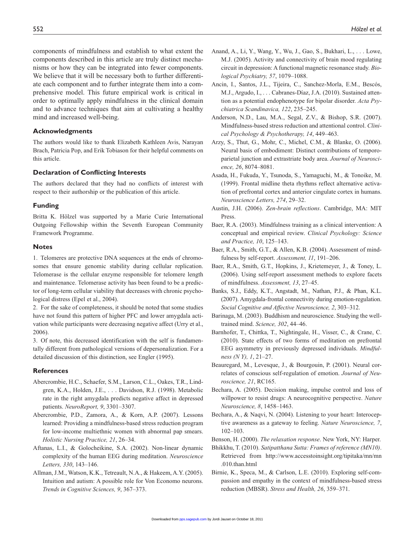components of mindfulness and establish to what extent the components described in this article are truly distinct mechanisms or how they can be integrated into fewer components. We believe that it will be necessary both to further differentiate each component and to further integrate them into a comprehensive model. This future empirical work is critical in order to optimally apply mindfulness in the clinical domain and to advance techniques that aim at cultivating a healthy mind and increased well-being.

#### **Acknowledgments**

The authors would like to thank Elizabeth Kathleen Avis, Narayan Brach, Patricia Pop, and Erik Tobiason for their helpful comments on this article.

#### **Declaration of Conflicting Interests**

The authors declared that they had no conflicts of interest with respect to their authorship or the publication of this article.

#### **Funding**

Britta K. Hölzel was supported by a Marie Curie International Outgoing Fellowship within the Seventh European Community Framework Programme.

#### **Notes**

1. Telomeres are protective DNA sequences at the ends of chromosomes that ensure genomic stability during cellular replication. Telomerase is the cellular enzyme responsible for telomere length and maintenance. Telomerase activity has been found to be a predictor of long-term cellular viability that decreases with chronic psychological distress (Epel et al., 2004).

2. For the sake of completeness, it should be noted that some studies have not found this pattern of higher PFC and lower amygdala activation while participants were decreasing negative affect (Urry et al., 2006).

3. Of note, this decreased identification with the self is fundamentally different from pathological versions of depersonalization. For a detailed discussion of this distinction, see Engler (1995).

#### **References**

- Abercrombie, H.C., Schaefer, S.M., Larson, C.L., Oakes, T.R., Lindgren, K.A., Holden, J.E., . . . Davidson, R.J. (1998). Metabolic rate in the right amygdala predicts negative affect in depressed patients. *NeuroReport, 9*, 3301–3307.
- Abercrombie, P.D., Zamora, A., & Korn, A.P. (2007). Lessons learned: Providing a mindfulness-based stress reduction program for low-income multiethnic women with abnormal pap smears. *Holistic Nursing Practice, 21*, 26–34.
- Aftanas, L.I., & Golocheikine, S.A. (2002). Non-linear dynamic complexity of the human EEG during meditation. *Neuroscience Letters, 330*, 143–146.
- Allman, J.M., Watson, K.K., Tetreault, N.A., & Hakeem, A.Y. (2005). Intuition and autism: A possible role for Von Economo neurons. *Trends in Cognitive Sciences, 9*, 367–373.
- Anand, A., Li, Y., Wang, Y., Wu, J., Gao, S., Bukhari, L., . . . Lowe, M.J. (2005). Activity and connectivity of brain mood regulating circuit in depression: A functional magnetic resonance study. *Biological Psychiatry, 57*, 1079–1088.
- Ancin, I., Santos, J.L., Tijeira, C., Sanchez-Morla, E.M., Bescós, M.J., Argudo, I., . . . Cabranes-Díaz, J.A. (2010). Sustained attention as a potential endophenotype for bipolar disorder. *Acta Psychiatrica Scandinavica, 122*, 235–245.
- Anderson, N.D., Lau, M.A., Segal, Z.V., & Bishop, S.R. (2007). Mindfulness-based stress reduction and attentional control. *Clinical Psychology & Psychotherapy, 14*, 449–463.
- Arzy, S., Thut, G., Mohr, C., Michel, C.M., & Blanke, O. (2006). Neural basis of embodiment: Distinct contributions of temporoparietal junction and extrastriate body area. *Journal of Neuroscience, 26*, 8074–8081.
- Asada, H., Fukuda, Y., Tsunoda, S., Yamaguchi, M., & Tonoike, M. (1999). Frontal midline theta rhythms reflect alternative activation of prefrontal cortex and anterior cingulate cortex in humans. *Neuroscience Letters, 274*, 29–32.
- Austin, J.H. (2006). *Zen-brain reflections*. Cambridge, MA: MIT Press.
- Baer, R.A. (2003). Mindfulness training as a clinical intervention: A conceptual and empirical review. *Clinical Psychology: Science and Practice, 10*, 125–143.
- Baer, R.A., Smith, G.T., & Allen, K.B. (2004). Assessment of mindfulness by self-report. *Assessment, 11*, 191–206.
- Baer, R.A., Smith, G.T., Hopkins, J., Krietemeyer, J., & Toney, L. (2006). Using self-report assessment methods to explore facets of mindfulness. *Assessment, 13*, 27–45.
- Banks, S.J., Eddy, K.T., Angstadt, M., Nathan, P.J., & Phan, K.L. (2007). Amygdala-frontal connectivity during emotion-regulation. *Social Cognitive and Affective Neuroscience, 2*, 303–312.
- Barinaga, M. (2003). Buddhism and neuroscience. Studying the welltrained mind. *Science, 302*, 44–46.
- Barnhofer, T., Chittka, T., Nightingale, H., Visser, C., & Crane, C. (2010). State effects of two forms of meditation on prefrontal EEG asymmetry in previously depressed individuals. *Mindfulness (N Y), 1*, 21–27.
- Beauregard, M., Levesque, J., & Bourgouin, P. (2001). Neural correlates of conscious self-regulation of emotion. *Journal of Neuroscience, 21*, RC165.
- Bechara, A. (2005). Decision making, impulse control and loss of willpower to resist drugs: A neurocognitive perspective. *Nature Neuroscience, 8*, 1458–1463.
- Bechara, A., & Naqvi, N. (2004). Listening to your heart: Interoceptive awareness as a gateway to feeling. *Nature Neuroscience, 7*, 102–103.

Benson, H. (2000). *The relaxation response*. New York, NY: Harper.

- Bhikkhu, T. (2010). *Satipatthana Sutta: Frames of reference (MN10)*. Retrieved from http://www.accesstoinsight.org/tipitaka/mn/mn .010.than.html
- Birnie, K., Speca, M., & Carlson, L.E. (2010). Exploring self-compassion and empathy in the context of mindfulness-based stress reduction (MBSR). *Stress and Health, 26*, 359–371.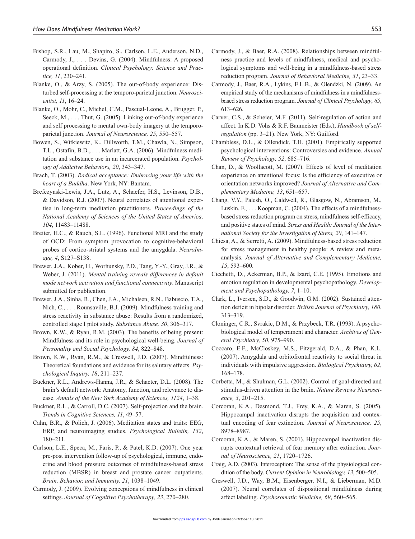- Bishop, S.R., Lau, M., Shapiro, S., Carlson, L.E., Anderson, N.D., Carmody, J., . . . Devins, G. (2004). Mindfulness: A proposed operational definition. *Clinical Psychology: Science and Practice, 11*, 230–241.
- Blanke, O., & Arzy, S. (2005). The out-of-body experience: Disturbed self-processing at the temporo-parietal junction. *Neuroscientist, 11*, 16–24.
- Blanke, O., Mohr, C., Michel, C.M., Pascual-Leone, A., Brugger, P., Seeck, M., . . . Thut, G. (2005). Linking out-of-body experience and self processing to mental own-body imagery at the temporoparietal junction. *Journal of Neuroscience, 25*, 550–557.
- Bowen, S., Witkiewitz, K., Dillworth, T.M., Chawla, N., Simpson, T.L., Ostafin, B.D., . . . Marlatt, G.A. (2006). Mindfulness meditation and substance use in an incarcerated population. *Psychology of Addictive Behaviors, 20*, 343–347.
- Brach, T. (2003). *Radical acceptance: Embracing your life with the heart of a Buddha*. New York, NY: Bantam.
- Brefczynski-Lewis, J.A., Lutz, A., Schaefer, H.S., Levinson, D.B., & Davidson, R.J. (2007). Neural correlates of attentional expertise in long-term meditation practitioners. *Proceedings of the National Academy of Sciences of the United States of America, 104*, 11483–11488.
- Breiter, H.C., & Rauch, S.L. (1996). Functional MRI and the study of OCD: From symptom provocation to cognitive-behavioral probes of cortico-striatal systems and the amygdala. *NeuroImage, 4*, S127–S138.
- Brewer, J.A., Kober, H., Worhunsky, P.D., Tang, Y.-Y., Gray, J.R., & Weber, J. (2011). *Mental training reveals differences in default mode network activation and functional connectivity*. Manuscript submitted for publication.
- Brewer, J.A., Sinha, R., Chen, J.A., Michalsen, R.N., Babuscio, T.A., Nich, C., . . . Rounsaville, B.J. (2009). Mindfulness training and stress reactivity in substance abuse: Results from a randomized, controlled stage I pilot study. *Substance Abuse, 30*, 306–317.
- Brown, K.W., & Ryan, R.M. (2003). The benefits of being present: Mindfulness and its role in psychological well-being. *Journal of Personality and Social Psychology, 84*, 822–848.
- Brown, K.W., Ryan, R.M., & Creswell, J.D. (2007). Mindfulness: Theoretical foundations and evidence for its salutary effects. *Psychological Inquiry, 18*, 211–237.
- Buckner, R.L., Andrews-Hanna, J.R., & Schacter, D.L. (2008). The brain's default network: Anatomy, function, and relevance to disease. *Annals of the New York Academy of Sciences, 1124*, 1–38.
- Buckner, R.L., & Carroll, D.C. (2007). Self-projection and the brain. *Trends in Cognitive Sciences, 11*, 49–57.
- Cahn, B.R., & Polich, J. (2006). Meditation states and traits: EEG, ERP, and neuroimaging studies. *Psychological Bulletin, 132*, 180–211.
- Carlson, L.E., Speca, M., Faris, P., & Patel, K.D. (2007). One year pre-post intervention follow-up of psychological, immune, endocrine and blood pressure outcomes of mindfulness-based stress reduction (MBSR) in breast and prostate cancer outpatients. *Brain, Behavior, and Immunity, 21*, 1038–1049.
- Carmody, J. (2009). Evolving conceptions of mindfulness in clinical settings. *Journal of Cognitive Psychotherapy, 23*, 270–280.
- Carmody, J., & Baer, R.A. (2008). Relationships between mindfulness practice and levels of mindfulness, medical and psychological symptoms and well-being in a mindfulness-based stress reduction program. *Journal of Behavioral Medicine, 31*, 23–33.
- Carmody, J., Baer, R.A., Lykins, E.L.B., & Olendzki, N. (2009). An empirical study of the mechanisms of mindfulness in a mindfulnessbased stress reduction program. *Journal of Clinical Psychology*, *65*, 613–626.
- Carver, C.S., & Scheier, M.F. (2011). Self-regulation of action and affect. In K.D. Vohs & R.F. Baumeister (Eds.), *Handbook of selfregulation* (pp. 3–21). New York, NY: Guilford.
- Chambless, D.L., & Ollendick, T.H. (2001). Empirically supported psychological interventions: Controversies and evidence. *Annual Review of Psychology, 52*, 685–716.
- Chan, D., & Woollacott, M. (2007). Effects of level of meditation experience on attentional focus: Is the efficiency of executive or orientation networks improved? *Journal of Alternative and Complementary Medicine, 13*, 651–657.
- Chang, V.Y., Palesh, O., Caldwell, R., Glasgow, N., Abramson, M., Luskin, F., . . . Koopman, C. (2004). The effects of a mindfulnessbased stress reduction program on stress, mindfulness self-efficacy, and positive states of mind. *Stress and Health: Journal of the International Society for the Investigation of Stress, 20*, 141–147.
- Chiesa, A., & Serretti, A. (2009). Mindfulness-based stress reduction for stress management in healthy people: A review and metaanalysis. *Journal of Alternative and Complementary Medicine, 15*, 593–600.
- Cicchetti, D., Ackerman, B.P., & Izard, C.E. (1995). Emotions and emotion regulation in developmental psychopathology. *Development and Psychopathology, 7*, 1–10.
- Clark, L., Iversen, S.D., & Goodwin, G.M. (2002). Sustained attention deficit in bipolar disorder. *British Journal of Psychiatry, 180*, 313–319.
- Cloninger, C.R., Svrakic, D.M., & Przybeck, T.R. (1993). A psychobiological model of temperament and character. *Archives of General Psychiatry, 50*, 975–990.
- Coccaro, E.F., McCloskey, M.S., Fitzgerald, D.A., & Phan, K.L. (2007). Amygdala and orbitofrontal reactivity to social threat in individuals with impulsive aggression. *Biological Psychiatry, 62*, 168–178.
- Corbetta, M., & Shulman, G.L. (2002). Control of goal-directed and stimulus-driven attention in the brain. *Nature Reviews Neuroscience, 3*, 201–215.
- Corcoran, K.A., Desmond, T.J., Frey, K.A., & Maren, S. (2005). Hippocampal inactivation disrupts the acquisition and contextual encoding of fear extinction. *Journal of Neuroscience, 25*, 8978–8987.
- Corcoran, K.A., & Maren, S. (2001). Hippocampal inactivation disrupts contextual retrieval of fear memory after extinction. *Journal of Neuroscience, 21*, 1720–1726.
- Craig, A.D. (2003). Interoception: The sense of the physiological condition of the body. *Current Opinion in Neurobiology, 13*, 500–505.
- Creswell, J.D., Way, B.M., Eisenberger, N.I., & Lieberman, M.D. (2007). Neural correlates of dispositional mindfulness during affect labeling. *Psychosomatic Medicine, 69*, 560–565.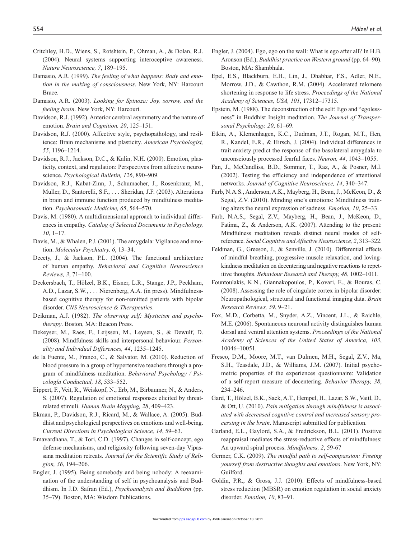- Critchley, H.D., Wiens, S., Rotshtein, P., Ohman, A., & Dolan, R.J. (2004). Neural systems supporting interoceptive awareness. *Nature Neuroscience, 7*, 189–195.
- Damasio, A.R. (1999). *The feeling of what happens: Body and emotion in the making of consciousness*. New York, NY: Harcourt Brace.
- Damasio, A.R. (2003). *Looking for Spinoza: Joy, sorrow, and the feeling brain*. New York, NY: Harcourt.
- Davidson, R.J. (1992). Anterior cerebral asymmetry and the nature of emotion. *Brain and Cognition, 20*, 125–151.
- Davidson, R.J. (2000). Affective style, psychopathology, and resilience: Brain mechanisms and plasticity. *American Psychologist, 55*, 1196–1214.
- Davidson, R.J., Jackson, D.C., & Kalin, N.H. (2000). Emotion, plasticity, context, and regulation: Perspectives from affective neuroscience. *Psychological Bulletin, 126*, 890–909.
- Davidson, R.J., Kabat-Zinn, J., Schumacher, J., Rosenkranz, M., Muller, D., Santorelli, S.F., . . . Sheridan, J.F. (2003). Alterations in brain and immune function produced by mindfulness meditation. *Psychosomatic Medicine, 65*, 564–570.
- Davis, M. (1980). A multidimensional approach to individual differences in empathy. *Catalog of Selected Documents in Psychology, 10*, 1–17.
- Davis, M., & Whalen, P.J. (2001). The amygdala: Vigilance and emotion. *Molecular Psychiatry, 6*, 13–34.
- Decety, J., & Jackson, P.L. (2004). The functional architecture of human empathy. *Behavioral and Cognitive Neuroscience Reviews, 3*, 71–100.
- Deckersbach, T., Hölzel, B.K., Eisner, L.R., Stange, J.P., Peckham, A.D., Lazar, S.W., . . . Nierenberg, A.A. (in press). Mindfulnessbased cognitive therapy for non-remitted patients with bipolar disorder. *CNS Neuroscience & Therapeutics*.
- Deikman, A.J. (1982). *The observing self: Mysticism and psychotherapy*. Boston, MA: Beacon Press.
- Dekeyser, M., Raes, F., Leijssen, M., Leysen, S., & Dewulf, D. (2008). Mindfulness skills and interpersonal behaviour. *Personality and Individual Differences, 44*, 1235–1245.
- de la Fuente, M., Franco, C., & Salvator, M. (2010). Reduction of blood pressure in a group of hypertensive teachers through a program of mindfulness meditation. *Behavioral Psychology / Psicología Conductual, 18*, 533–552.
- Eippert, F., Veit, R., Weiskopf, N., Erb, M., Birbaumer, N., & Anders, S. (2007). Regulation of emotional responses elicited by threatrelated stimuli. *Human Brain Mapping, 28*, 409–423.
- Ekman, P., Davidson, R.J., Ricard, M., & Wallace, A. (2005). Buddhist and psychological perspectives on emotions and well-being. *Current Directions in Psychological Science, 14*, 59–63.
- Emavardhana, T., & Tori, C.D. (1997). Changes in self-concept, ego defense mechanisms, and religiosity following seven-day Vipassana meditation retreats. *Journal for the Scientific Study of Religion, 36*, 194–206.
- Engler, J. (1995). Being somebody and being nobody: A reexamination of the understanding of self in psychoanalysis and Buddhism. In J.D. Safran (Ed.), *Psychoanalysis and Buddhism* (pp. 35–79). Boston, MA: Wisdom Publications.
- Engler, J. (2004). Ego, ego on the wall: What is ego after all? In H.B. Aronson (Ed.), *Buddhist practice on Western ground* (pp. 64–90). Boston, MA: Shambhala.
- Epel, E.S., Blackburn, E.H., Lin, J., Dhabhar, F.S., Adler, N.E., Morrow, J.D., & Cawthon, R.M. (2004). Accelerated telomere shortening in response to life stress. *Proceedings of the National Academy of Sciences, USA, 101*, 17312–17315.
- Epstein, M. (1988). The deconstruction of the self: Ego and "egolessness" in Buddhist Insight meditation. *The Journal of Transpersonal Psychology, 20*, 61–69.
- Etkin, A., Klemenhagen, K.C., Dudman, J.T., Rogan, M.T., Hen, R., Kandel, E.R., & Hirsch, J. (2004). Individual differences in trait anxiety predict the response of the basolateral amygdala to unconsciously processed fearful faces. *Neuron, 44*, 1043–1055.
- Fan, J., McCandliss, B.D., Sommer, T., Raz, A., & Posner, M.I. (2002). Testing the efficiency and independence of attentional networks. *Journal of Cognitive Neuroscience, 14*, 340–347.
- Farb, N.A.S., Anderson, A.K., Mayberg, H., Bean, J., McKeon, D., & Segal, Z.V. (2010). Minding one's emotions: Mindfulness training alters the neural expression of sadness. *Emotion, 10*, 25–33.
- Farb, N.A.S., Segal, Z.V., Mayberg, H., Bean, J., McKeon, D., Fatima, Z., & Anderson, A.K. (2007). Attending to the present: Mindfulness meditation reveals distinct neural modes of selfreference. *Social Cognitive and Affective Neuroscience, 2*, 313–322.
- Feldman, G., Greeson, J., & Senville, J. (2010). Differential effects of mindful breathing, progressive muscle relaxation, and lovingkindness meditation on decentering and negative reactions to repetitive thoughts. *Behaviour Research and Therapy, 48*, 1002–1011.
- Fountoulakis, K.N., Giannakopoulos, P., Kovari, E., & Bouras, C. (2008). Assessing the role of cingulate cortex in bipolar disorder: Neuropathological, structural and functional imaging data. *Brain Research Reviews, 59*, 9–21.
- Fox, M.D., Corbetta, M., Snyder, A.Z., Vincent, J.L., & Raichle, M.E. (2006). Spontaneous neuronal activity distinguishes human dorsal and ventral attention systems. *Proceedings of the National Academy of Sciences of the United States of America, 103*, 10046–10051.
- Fresco, D.M., Moore, M.T., van Dulmen, M.H., Segal, Z.V., Ma, S.H., Teasdale, J.D., & Williams, J.M. (2007). Initial psychometric properties of the experiences questionnaire: Validation of a self-report measure of decentering. *Behavior Therapy, 38*, 234–246.
- Gard, T., Hölzel, B.K., Sack, A.T., Hempel, H., Lazar, S.W., Vaitl, D., & Ott, U. (2010). *Pain mitigation through mindfulness is associated with decreased cognitive control and increased sensory processing in the brain*. Manuscript submitted for publication.
- Garland, E.L., Gaylord, S.A., & Fredrickson, B.L. (2011). Positive reappraisal mediates the stress-reductive effects of mindfulness: An upward spiral process. *Mindfulness, 2*, 59-67
- Germer, C.K. (2009). *The mindful path to self-compassion: Freeing yourself from destructive thoughts and emotions*. New York, NY: Guilford.
- Goldin, P.R., & Gross, J.J. (2010). Effects of mindfulness-based stress reduction (MBSR) on emotion regulation in social anxiety disorder. *Emotion, 10*, 83–91.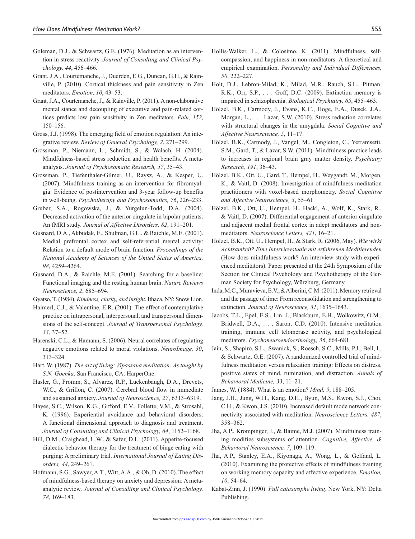- Goleman, D.J., & Schwartz, G.E. (1976). Meditation as an intervention in stress reactivity. *Journal of Consulting and Clinical Psychology, 44*, 456–466.
- Grant, J.A., Courtemanche, J., Duerden, E.G., Duncan, G.H., & Rainville, P. (2010). Cortical thickness and pain sensitivity in Zen meditators. *Emotion, 10*, 43–53.
- Grant, J.A., Courtemanche, J., & Rainville, P. (2011). A non-elaborative mental stance and decoupling of executive and pain-related cortices predicts low pain sensitivity in Zen meditators. *Pain, 152*, 150–156.
- Gross, J.J. (1998). The emerging field of emotion regulation: An integrative review. *Review of General Psychology, 2*, 271–299.
- Grossman, P., Niemann, L., Schmidt, S., & Walach, H. (2004). Mindfulness-based stress reduction and health benefits. A metaanalysis. *Journal of Psychosomatic Research, 57*, 35–43.
- Grossman, P., Tiefenthaler-Gilmer, U., Raysz, A., & Kesper, U. (2007). Mindfulness training as an intervention for fibromyalgia: Evidence of postintervention and 3-year follow-up benefits in well-being. *Psychotherapy and Psychosomatics, 76*, 226–233.
- Gruber, S.A., Rogowska, J., & Yurgelun-Todd, D.A. (2004). Decreased activation of the anterior cingulate in bipolar patients: An fMRI study. *Journal of Affective Disorders, 82*, 191–201.
- Gusnard, D.A., Akbudak, E., Shulman, G.L., & Raichle, M.E. (2001). Medial prefrontal cortex and self-referential mental activity: Relation to a default mode of brain function. *Proceedings of the National Academy of Sciences of the United States of America, 98*, 4259–4264.
- Gusnard, D.A., & Raichle, M.E. (2001). Searching for a baseline: Functional imaging and the resting human brain. *Nature Reviews Neuroscience, 2*, 685–694.
- Gyatso, T. (1984). *Kindness, clarity, and insight*. Ithaca, NY: Snow Lion.
- Haimerl, C.J., & Valentine, E.R. (2001). The effect of contemplative practice on intrapersonal, interpersonal, and transpersonal dimensions of the self-concept. *Journal of Transpersonal Psychology, 33*, 37–52.
- Harenski, C.L., & Hamann, S. (2006). Neural correlates of regulating negative emotions related to moral violations. *NeuroImage, 30*, 313–324.
- Hart, W. (1987). *The art of living: Vipassana meditation: As taught by S.N. Goenka*. San Francisco, CA: HarperOne.
- Hasler, G., Fromm, S., Alvarez, R.P., Luckenbaugh, D.A., Drevets, W.C., & Grillon, C. (2007). Cerebral blood flow in immediate and sustained anxiety. *Journal of Neuroscience, 27*, 6313–6319.
- Hayes, S.C., Wilson, K.G., Gifford, E.V., Follette, V.M., & Strosahl, K. (1996). Experiential avoidance and behavioral disorders: A functional dimensional approach to diagnosis and treatment. *Journal of Consulting and Clinical Psychology, 64*, 1152–1168.
- Hill, D.M., Craighead, L.W., & Safer, D.L. (2011). Appetite-focused dialectic behavior therapy for the treatment of binge eating with purging: A preliminary trial. *International Journal of Eating Disorders, 44*, 249–261.
- Hofmann, S.G., Sawyer, A.T., Witt, A.A., & Oh, D. (2010). The effect of mindfulness-based therapy on anxiety and depression: A metaanalytic review. *Journal of Consulting and Clinical Psychology, 78*, 169–183.
- Hollis-Walker, L., & Colosimo, K. (2011). Mindfulness, selfcompassion, and happiness in non-meditators: A theoretical and empirical examination. *Personality and Individual Differences, 50*, 222–227.
- Holt, D.J., Lebron-Milad, K., Milad, M.R., Rauch, S.L., Pitman, R.K., Orr, S.P., . . . Goff, D.C. (2009). Extinction memory is impaired in schizophrenia. *Biological Psychiatry, 65*, 455–463.
- Hölzel, B.K., Carmody, J., Evans, K.C., Hoge, E.A., Dusek, J.A., Morgan, L., . . . Lazar, S.W. (2010). Stress reduction correlates with structural changes in the amygdala. *Social Cognitive and Affective Neuroscience, 5*, 11–17.
- Hölzel, B.K., Carmody, J., Vangel, M., Congleton, C., Yerramsetti, S.M., Gard, T., & Lazar, S.W. (2011). Mindfulness practice leads to increases in regional brain gray matter density. *Psychiatry Research, 191*, 36–43.
- Hölzel, B.K., Ott, U., Gard, T., Hempel, H., Weygandt, M., Morgen, K., & Vaitl, D. (2008). Investigation of mindfulness meditation practitioners with voxel-based morphometry. *Social Cognitive and Affective Neuroscience, 3*, 55–61.
- Hölzel, B.K., Ott, U., Hempel, H., Hackl, A., Wolf, K., Stark, R., & Vaitl, D. (2007). Differential engagement of anterior cingulate and adjacent medial frontal cortex in adept meditators and nonmeditators. *Neuroscience Letters, 421*, 16–21.
- Hölzel, B.K., Ott, U., Hempel, H., & Stark, R. (2006, May). *Wie wirkt Achtsamkeit? Eine Interviewstudie mit erfahrenen Meditierenden* (How does mindfulness work? An interview study with experienced meditators). Paper presented at the 24th Symposium of the Section for Clinical Psychology and Psychotherapy of the German Society for Psychology, Würzburg, Germany.
- Inda, M.C., Muravieva, E.V., & Alberini, C.M. (2011). Memory retrieval and the passage of time: From reconsolidation and strengthening to extinction. *Journal of Neuroscience, 31*, 1635–1643.
- Jacobs, T.L., Epel, E.S., Lin, J., Blackburn, E.H., Wolkowitz, O.M., Bridwell, D.A., . . . Saron, C.D. (2010). Intensive meditation training, immune cell telomerase activity, and psychological mediators. *Psychoneuroendocrinology, 36*, 664-681.
- Jain, S., Shapiro, S.L., Swanick, S., Roesch, S.C., Mills, P.J., Bell, I., & Schwartz, G.E. (2007). A randomized controlled trial of mindfulness meditation versus relaxation training: Effects on distress, positive states of mind, rumination, and distraction. *Annals of Behavioral Medicine, 33*, 11–21.
- James, W. (1884). What is an emotion? *Mind, 9*, 188–205.
- Jang, J.H., Jung, W.H., Kang, D.H., Byun, M.S., Kwon, S.J., Choi, C.H., & Kwon, J.S. (2010). Increased default mode network connectivity associated with meditation. *Neuroscience Letters, 487*, 358–362.
- Jha, A.P., Krompinger, J., & Baime, M.J. (2007). Mindfulness training modifies subsystems of attention. *Cognitive, Affective, & Behavioral Neuroscience, 7*, 109–119.
- Jha, A.P., Stanley, E.A., Kiyonaga, A., Wong, L., & Gelfand, L. (2010). Examining the protective effects of mindfulness training on working memory capacity and affective experience. *Emotion, 10*, 54–64.
- Kabat-Zinn, J. (1990). *Full catastrophe living*. New York, NY: Delta Publishing.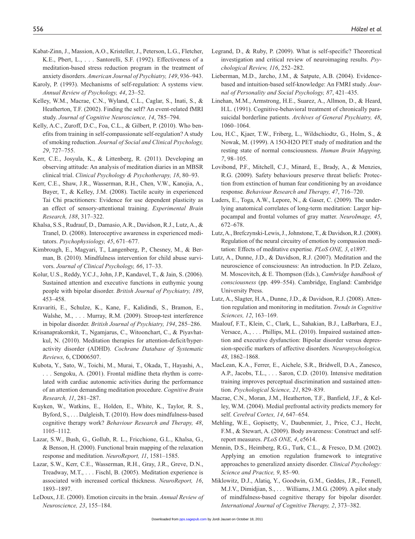- Kabat-Zinn, J., Massion, A.O., Kristeller, J., Peterson, L.G., Fletcher, K.E., Pbert, L., . . . Santorelli, S.F. (1992). Effectiveness of a meditation-based stress reduction program in the treatment of anxiety disorders. *American Journal of Psychiatry, 149*, 936–943.
- Karoly, P. (1993). Mechanisms of self-regulation: A systems view. *Annual Review of Psychology, 44*, 23–52.
- Kelley, W.M., Macrae, C.N., Wyland, C.L., Caglar, S., Inati, S., & Heatherton, T.F. (2002). Finding the self? An event-related fMRI study. *Journal of Cognitive Neuroscience, 14*, 785–794.
- Kelly, A.C., Zuroff, D.C., Foa, C.L., & Gilbert, P. (2010). Who benefits from training in self-compassionate self-regulation? A study of smoking reduction. *Journal of Social and Clinical Psychology, 29*, 727–755.
- Kerr, C.E., Josyula, K., & Littenberg, R. (2011). Developing an observing attitude: An analysis of meditation diaries in an MBSR clinical trial. *Clinical Psychology & Psychotherapy, 18*, 80–93.
- Kerr, C.E., Shaw, J.R., Wasserman, R.H., Chen, V.W., Kanojia, A., Bayer, T., & Kelley, J.M. (2008). Tactile acuity in experienced Tai Chi practitioners: Evidence for use dependent plasticity as an effect of sensory-attentional training. *Experimental Brain Research, 188*, 317–322.
- Khalsa, S.S., Rudrauf, D., Damasio, A.R., Davidson, R.J., Lutz, A., & Tranel, D. (2008). Interoceptive awareness in experienced meditators. *Psychophysiology, 45*, 671–677.
- Kimbrough, E., Magyari, T., Langenberg, P., Chesney, M., & Berman, B. (2010). Mindfulness intervention for child abuse survivors. *Journal of Clinical Psychology, 66*, 17–33.
- Kolur, U.S., Reddy, Y.C.J., John, J.P., Kandavel, T., & Jain, S. (2006). Sustained attention and executive functions in euthymic young people with bipolar disorder. *British Journal of Psychiatry, 189*, 453–458.
- Kravariti, E., Schulze, K., Kane, F., Kalidindi, S., Bramon, E., Walshe, M., . . . Murray, R.M. (2009). Stroop-test interference in bipolar disorder. *British Journal of Psychiatry, 194*, 285–286.
- Krisanaprakornkit, T., Ngamjarus, C., Witoonchart, C., & Piyavhatkul, N. (2010). Meditation therapies for attention-deficit/hyperactivity disorder (ADHD). *Cochrane Database of Systematic Reviews,* 6, CD006507.
- Kubota, Y., Sato, W., Toichi, M., Murai, T., Okada, T., Hayashi, A., . . . Sengoku, A. (2001). Frontal midline theta rhythm is correlated with cardiac autonomic activities during the performance of an attention demanding meditation procedure. *Cognitive Brain Research, 11*, 281–287.
- Kuyken, W., Watkins, E., Holden, E., White, K., Taylor, R. S., Byford, S., . . . Dalgleish, T. (2010). How does mindfulness-based cognitive therapy work? *Behaviour Research and Therapy, 48*, 1105–1112.
- Lazar, S.W., Bush, G., Gollub, R. L., Fricchione, G.L., Khalsa, G., & Benson, H. (2000). Functional brain mapping of the relaxation response and meditation. *NeuroReport, 11*, 1581–1585.
- Lazar, S.W., Kerr, C.E., Wasserman, R.H., Gray, J.R., Greve, D.N., Treadway, M.T., . . . Fischl, B. (2005). Meditation experience is associated with increased cortical thickness. *NeuroReport, 16*, 1893–1897.
- LeDoux, J.E. (2000). Emotion circuits in the brain. *Annual Review of Neuroscience, 23*, 155–184.
- Legrand, D., & Ruby, P. (2009). What is self-specific? Theoretical investigation and critical review of neuroimaging results. *Psychological Review, 116*, 252–282.
- Lieberman, M.D., Jarcho, J.M., & Satpute, A.B. (2004). Evidencebased and intuition-based self-knowledge: An FMRI study. *Journal of Personality and Social Psychology, 87*, 421–435.
- Linehan, M.M., Armstrong, H.E., Suarez, A., Allmon, D., & Heard, H.L. (1991). Cognitive-behavioral treatment of chronically parasuicidal borderline patients. *Archives of General Psychiatry, 48*, 1060–1064.
- Lou, H.C., Kjaer, T.W., Friberg, L., Wildschiodtz, G., Holm, S., & Nowak, M. (1999). A 15O-H2O PET study of meditation and the resting state of normal consciousness. *Human Brain Mapping, 7*, 98–105.
- Lovibond, P.F., Mitchell, C.J., Minard, E., Brady, A., & Menzies, R.G. (2009). Safety behaviours preserve threat beliefs: Protection from extinction of human fear conditioning by an avoidance response. *Behaviour Research and Therapy, 47*, 716–720.
- Luders, E., Toga, A.W., Lepore, N., & Gaser, C. (2009). The underlying anatomical correlates of long-term meditation: Larger hippocampal and frontal volumes of gray matter. *NeuroImage, 45*, 672–678.
- Lutz, A., Brefczynski-Lewis, J., Johnstone, T., & Davidson, R.J. (2008). Regulation of the neural circuitry of emotion by compassion meditation: Effects of meditative expertise. *PLoS ONE, 3*, e1897.
- Lutz, A., Dunne, J.D., & Davidson, R.J. (2007). Meditation and the neuroscience of consciousness: An introduction. In P.D. Zelazo, M. Moscovitch, & E. Thompson (Eds.), *Cambridge handbook of consciousness* (pp. 499–554). Cambridge, England: Cambridge University Press.
- Lutz, A., Slagter, H.A., Dunne, J.D., & Davidson, R.J. (2008). Attention regulation and monitoring in meditation. *Trends in Cognitive Sciences, 12*, 163–169.
- Maalouf, F.T., Klein, C., Clark, L., Sahakian, B.J., LaBarbara, E.J., Versace, A., . . . Phillips, M.L. (2010). Impaired sustained attention and executive dysfunction: Bipolar disorder versus depression-specific markers of affective disorders*. Neuropsychologica, 48*, 1862–1868.
- MacLean, K.A., Ferrer, E., Aichele, S.R., Bridwell, D.A., Zanesco, A.P., Jacobs, T.L., . . . Saron, C.D. (2010). Intensive meditation training improves perceptual discrimination and sustained attention. *Psychological Science, 21*, 829–839.
- Macrae, C.N., Moran, J.M., Heatherton, T.F., Banfield, J.F., & Kelley, W.M. (2004). Medial prefrontal activity predicts memory for self. *Cerebral Cortex, 14*, 647–654.
- Mehling, W.E., Gopisetty, V., Daubenmier, J., Price, C.J., Hecht, F.M., & Stewart, A. (2009). Body awareness: Construct and selfreport measures. *PLoS ONE, 4*, e5614.
- Mennin, D.S., Heimberg, R.G., Turk, C.L., & Fresco, D.M. (2002). Applying an emotion regulation framework to integrative approaches to generalized anxiety disorder. *Clinical Psychology: Science and Practice, 9*, 85–90.
- Miklowitz, D.J., Alatiq, Y., Goodwin, G.M., Geddes, J.R., Fennell, M.J.V., Dimidjian, S., . . . Williams, J.M.G. (2009). A pilot study of mindfulness-based cognitive therapy for bipolar disorder. *International Journal of Cognitive Therapy, 2*, 373–382.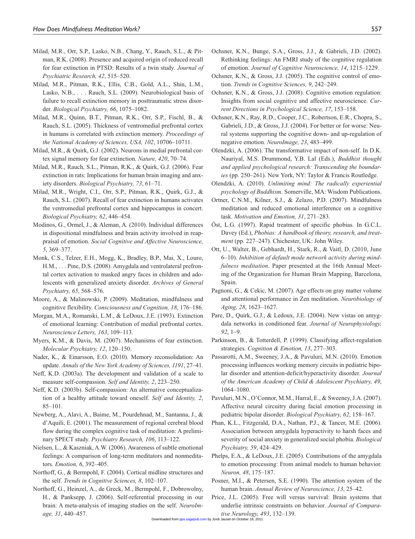- Milad, M.R., Orr, S.P., Lasko, N.B., Chang, Y., Rauch, S.L., & Pitman, R.K. (2008). Presence and acquired origin of reduced recall for fear extinction in PTSD: Results of a twin study. *Journal of Psychiatric Research, 42*, 515–520.
- Milad, M.R., Pitman, R.K., Ellis, C.B., Gold, A.L., Shin, L.M., Lasko, N.B., . . . Rauch, S.L. (2009). Neurobiological basis of failure to recall extinction memory in posttraumatic stress disorder. *Biological Psychiatry, 66*, 1075–1082.
- Milad, M.R., Quinn, B.T., Pitman, R.K., Orr, S.P., Fischl, B., & Rauch, S.L. (2005). Thickness of ventromedial prefrontal cortex in humans is correlated with extinction memory. *Proceedings of the National Academy of Sciences, USA, 102*, 10706–10711.
- Milad, M.R., & Quirk, G.J. (2002). Neurons in medial prefrontal cortex signal memory for fear extinction. *Nature, 420*, 70–74.
- Milad, M.R., Rauch, S.L., Pitman, R.K., & Quirk, G.J. (2006). Fear extinction in rats: Implications for human brain imaging and anxiety disorders. *Biological Psychiatry, 73*, 61–71.
- Milad, M.R., Wright, C.I., Orr, S.P., Pitman, R.K., Quirk, G.J., & Rauch, S.L. (2007). Recall of fear extinction in humans activates the ventromedial prefrontal cortex and hippocampus in concert. *Biological Psychiatry, 62*, 446–454.
- Modinos, G., Ormel, J., & Aleman, A. (2010). Individual differences in dispositional mindfulness and brain activity involved in reappraisal of emotion. *Social Cognitive and Affective Neuroscience, 5*, 369–377.
- Monk, C.S., Telzer, E.H., Mogg, K., Bradley, B.P., Mai, X., Louro, H.M., . . . Pine, D.S. (2008). Amygdala and ventrolateral prefrontal cortex activation to masked angry faces in children and adolescents with generalized anxiety disorder. *Archives of General Psychiatry, 65*, 568–576.
- Moore, A., & Malinowski, P. (2009). Meditation, mindfulness and cognitive flexibility. *Consciousness and Cognition, 18*, 176–186.
- Morgan, M.A., Romanski, L.M., & LeDoux, J.E. (1993). Extinction of emotional learning: Contribution of medial prefrontal cortex. *Neuroscience Letters, 163*, 109–113.
- Myers, K.M., & Davis, M. (2007). Mechanisms of fear extinction. *Molecular Psychiatry, 12*, 120–150.
- Nader, K., & Einarsson, E.O. (2010). Memory reconsolidation: An update. *Annals of the New York Academy of Sciences, 1191*, 27–41.
- Neff, K.D. (2003a). The development and validation of a scale to measure self-compassion. *Self and Identity, 2*, 223–250.
- Neff, K.D. (2003b). Self-compassion: An alternative conceptualization of a healthy attitude toward oneself. *Self and Identity, 2*, 85–101.
- Newberg, A., Alavi, A., Baime, M., Pourdehnad, M., Santanna, J., & d'Aquili, E. (2001). The measurement of regional cerebral blood flow during the complex cognitive task of meditation: A preliminary SPECT study. *Psychiatry Research, 106*, 113–122.
- Nielsen, L., & Kaszniak, A.W. (2006). Awareness of subtle emotional feelings: A comparison of long-term meditators and nonmeditators. *Emotion, 6*, 392–405.
- Northoff, G., & Bermpohl, F. (2004). Cortical midline structures and the self. *Trends in Cognitive Sciences, 8*, 102–107.
- Northoff, G., Heinzel, A., de Greck, M., Bermpohl, F., Dobrowolny, H., & Panksepp, J. (2006). Self-referential processing in our brain: A meta-analysis of imaging studies on the self. *NeuroImage, 31*, 440–457.
- Ochsner, K.N., Bunge, S.A., Gross, J.J., & Gabrieli, J.D. (2002). Rethinking feelings: An FMRI study of the cognitive regulation of emotion. *Journal of Cognitive Neuroscience, 14*, 1215–1229.
- Ochsner, K.N., & Gross, J.J. (2005). The cognitive control of emotion. *Trends in Cognitive Sciences, 9*, 242–249.
- Ochsner, K.N., & Gross, J.J. (2008). Cognitive emotion regulation: Insights from social cognitive and affective neuroscience. *Current Directions in Psychological Science, 17*, 153–158.
- Ochsner, K.N., Ray, R.D., Cooper, J.C., Robertson, E.R., Chopra, S., Gabrieli, J.D., & Gross, J.J. (2004). For better or for worse: Neural systems supporting the cognitive down- and up-regulation of negative emotion. *NeuroImage, 23*, 483–499.
- Olendzki, A. (2006). The transformative impact of non-self. In D.K. Nauriyal, M.S. Drummond, Y.B. Lal (Eds.), *Buddhist thought and applied psychological research: Transcending the boundaries* (pp. 250–261). New York, NY: Taylor & Francis Routledge.
- Olendzki, A. (2010). *Unlimiting mind: The radically experiential psychology of Buddhism*. Somerville, MA: Wisdom Publications.
- Ortner, C.N.M., Kilner, S.J., & Zelazo, P.D. (2007). Mindfulness meditation and reduced emotional interference on a cognitive task. *Motivation and Emotion, 31*, 271–283.
- Öst, L.G. (1997). Rapid treatment of specific phobias. In G.C.L. Davey (Ed.), *Phobias: A handbook of theory, research, and treatment* (pp. 227–247). Chichester, UK: John Wiley.
- Ott, U., Walter, B., Gebhardt, H., Stark, R., & Vaitl, D. (2010, June 6–10). *Inhibition of default mode network activity during mindfulness meditation*. Paper presented at the 16th Annual Meeting of the Organization for Human Brain Mapping, Barcelona, Spain.
- Pagnoni, G., & Cekic, M. (2007). Age effects on gray matter volume and attentional performance in Zen meditation. *Neurobiology of Aging, 28*, 1623–1627.
- Pare, D., Quirk, G.J., & Ledoux, J.E. (2004). New vistas on amygdala networks in conditioned fear. *Journal of Neurophysiology, 92*, 1–9.
- Parkinson, B., & Totterdell, P. (1999). Classifying affect-regulation strategies. *Cognition & Emotion, 13*, 277–303.
- Passarotti, A.M., Sweeney, J.A., & Pavuluri, M.N. (2010). Emotion processing influences working memory circuits in pediatric bipolar disorder and attention-deficit/hyperactivity disorder. *Journal of the American Academy of Child & Adolescent Psychiatry, 49*, 1064–1080.
- Pavuluri, M.N., O'Connor, M.M., Harral, E., & Sweeney, J.A. (2007). Affective neural circuitry during facial emotion processing in pediatric bipolar disorder. *Biological Psychiatry, 62*, 158–167.
- Phan, K.L., Fitzgerald, D.A., Nathan, P.J., & Tancer, M.E. (2006). Association between amygdala hyperactivity to harsh faces and severity of social anxiety in generalized social phobia. *Biological Psychiatry, 59*, 424–429.
- Phelps, E.A., & LeDoux, J.E. (2005). Contributions of the amygdala to emotion processing: From animal models to human behavior. *Neuron, 48*, 175–187.
- Posner, M.I., & Petersen, S.E. (1990). The attention system of the human brain. *Annual Review of Neuroscience, 13*, 25–42.
- Price, J.L. (2005). Free will versus survival: Brain systems that underlie intrinsic constraints on behavior. *Journal of Comparative Neurology, 493*, 132–139.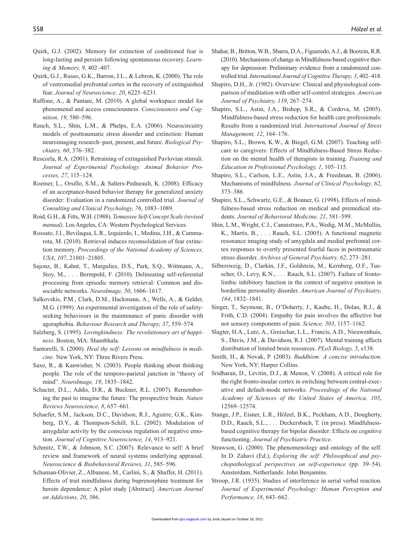- Quirk, G.J. (2002). Memory for extinction of conditioned fear is long-lasting and persists following spontaneous recovery. *Learning & Memory, 9*, 402–407.
- Quirk, G.J., Russo, G.K., Barron, J.L., & Lebron, K. (2000). The role of ventromedial prefrontal cortex in the recovery of extinguished fear. *Journal of Neuroscience, 20*, 6225–6231.
- Raffone, A., & Pantani, M. (2010). A global workspace model for phenomenal and access consciousness. *Consciousness and Cognition, 19*, 580–596.
- Rauch, S.L., Shin, L.M., & Phelps, E.A. (2006). Neurocircuitry models of posttraumatic stress disorder and extinction: Human neuroimaging research–past, present, and future. *Biological Psychiatry, 60*, 376–382.
- Rescorla, R.A. (2001). Retraining of extinguished Pavlovian stimuli. *Journal of Experimental Psychology: Animal Behavior Processes, 27*, 115–124.
- Roemer, L., Orsillo, S.M., & Salters-Pedneault, K. (2008). Efficacy of an acceptance-based behavior therapy for generalized anxiety disorder: Evaluation in a randomized controlled trial. *Journal of Consulting and Clinical Psychology, 76*, 1083–1089.
- Roid, G.H., & Fitts, W.H. (1988). *Tennessee Self-Concept Scale (revised manual)*. Los Angeles, CA: Western Psychological Services.
- Rossato, J.I., Bevilaqua, L.R., Izquierdo, I., Medina, J.H., & Cammarota, M. (2010). Retrieval induces reconsolidation of fear extinction memory. *Proceedings of the National Academy of Sciences, USA*, *107*, 21801–21805.
- Sajonz, B., Kahnt, T., Margulies, D.S., Park, S.Q., Wittmann, A., Stoy, M., . . . Bermpohl, F. (2010). Delineating self-referential processing from episodic memory retrieval: Common and dissociable networks. *NeuroImage, 50*, 1606–1617.
- Salkovskis, P.M., Clark, D.M., Hackmann, A., Wells, A., & Gelder, M.G. (1999). An experimental investigation of the role of safetyseeking behaviours in the maintenance of panic disorder with agoraphobia. *Behaviour Research and Therapy, 37*, 559–574.
- Salzberg, S. (1995). *Lovingkindness: The revolutionary art of happiness*. Boston, MA: Shambhala.
- Santorelli, S. (2000). *Heal thy self: Lessons on mindfulness in medicine*. New York, NY: Three Rivers Press.
- Saxe, R., & Kanwisher, N. (2003). People thinking about thinking people. The role of the temporo-parietal junction in "theory of mind". *NeuroImage, 19*, 1835–1842.
- Schacter, D.L., Addis, D.R., & Buckner, R.L. (2007). Remembering the past to imagine the future: The prospective brain. *Nature Reviews Neuroscience, 8*, 657–661.
- Schaefer, S.M., Jackson, D.C., Davidson, R.J., Aguirre, G.K., Kimberg, D.Y., & Thompson-Schill, S.L. (2002). Modulation of amygdalar activity by the conscious regulation of negative emotion. *Journal of Cognitive Neuroscience, 14*, 913–921.
- Schmitz, T.W., & Johnson, S.C. (2007). Relevance to self: A brief review and framework of neural systems underlying appraisal. *Neuroscience & Biobehavioral Reviews, 31*, 585–596.
- Schuman-Olivier, Z., Albanese, M., Carlini, S., & Shaffer, H. (2011). Effects of trait mindfulness during buprenorphine treatment for heroin dependence: A pilot study [Abstract]. *American Journal on Addictions, 20*, 386.
- Shahar, B., Britton, W.B., Sbarra, D.A., Figueredo, A.J., & Bootzin, R.R. (2010). Mechanisms of change in Mindfulness-based cognitive therapy for depression: Preliminary evidence from a randomized controlled trial. *International Journal of Cognitive Therapy, 3*, 402–418.
- Shapiro, D.H., Jr. (1982). Overview: Clinical and physiological comparison of meditation with other self-control strategies. *American Journal of Psychiatry, 139*, 267–274.
- Shapiro, S.L., Astin, J.A., Bishop, S.R., & Cordova, M. (2005). Mindfulness-based stress reduction for health care professionals: Results from a randomized trial. *International Journal of Stress Management, 12*, 164–176.
- Shapiro, S.L., Brown, K.W., & Biegel, G.M. (2007). Teaching selfcare to caregivers: Effects of Mindfulness-Based Stress Reduction on the mental health of therapists in training. *Training and Education in Professional Psychology, 1*, 105–115.
- Shapiro, S.L., Carlson, L.E., Astin, J.A., & Freedman, B. (2006). Mechanisms of mindfulness. *Journal of Clinical Psychology, 62*, 373–386.
- Shapiro, S.L., Schwartz, G.E., & Bonner, G. (1998). Effects of mindfulness-based stress reduction on medical and premedical students. *Journal of Behavioral Medicine, 21*, 581–599.
- Shin, L.M., Wright, C.I., Cannistraro, P.A., Wedig, M.M., McMullin, K., Martis, B., . . . Rauch, S.L. (2005). A functional magnetic resonance imaging study of amygdala and medial prefrontal cortex responses to overtly presented fearful faces in posttraumatic stress disorder. *Archives of General Psychiatry, 62*, 273–281.
- Silbersweig, D., Clarkin, J.F., Goldstein, M., Kernberg, O.F., Tuescher, O., Levy, K.N., . . . Rauch, S.L. (2007). Failure of frontolimbic inhibitory function in the context of negative emotion in borderline personality disorder. *American Journal of Psychiatry, 164*, 1832–1841.
- Singer, T., Seymour, B., O'Doherty, J., Kaube, H., Dolan, R.J., & Frith, C.D. (2004). Empathy for pain involves the affective but not sensory components of pain. *Science, 303*, 1157–1162.
- Slagter, H.A., Lutz, A., Greischar, L.L., Francis, A.D., Nieuwenhuis, S., Davis, J.M., & Davidson, R.J. (2007). Mental training affects distribution of limited brain resources. *PLoS Biology, 5*, e138.
- Smith, H., & Novak, P. (2003). *Buddhism: A concise introduction*. New York, NY: Harper Collins.
- Sridharan, D., Levitin, D.J., & Menon, V. (2008). A critical role for the right fronto-insular cortex in switching between central-executive and default-mode networks. *Proceedings of the National Academy of Sciences of the United States of America, 105*, 12569–12574.
- Stange, J.P., Eisner, L.R., Hölzel, B.K., Peckham, A.D., Dougherty, D.D., Rauch, S.L., . . . Deckersbach, T. (in press). Mindfulnessbased cognitive therapy for bipolar disorder: Effects on cognitive functioning. *Journal of Psychiatric Practice*.
- Strawson, G. (2000). The phenomenology and ontology of the self. In D. Zahavi (Ed.), *Exploring the self: Philosophical and psychopathological perspectives on self-experience* (pp. 39–54). Amsterdam, Netherlands: John Benjamins.
- Stroop, J.R. (1935). Studies of interference in serial verbal reaction. *Journal of Experimental Psychology: Human Perception and Performance, 18*, 643–662.